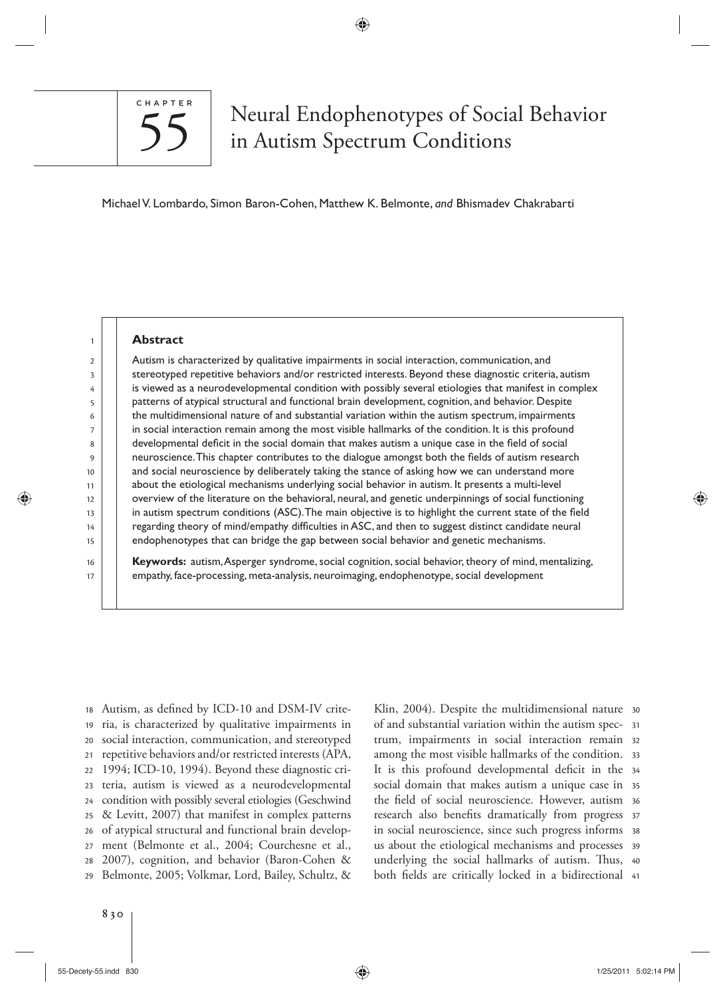

# S5 Neural Endophenotypes of Social Behavior<br>55 nAutism Spectrum Conditions in Autism Spectrum Conditions

Michael V. Lombardo , Simon Baron-Cohen , Matthew K. Belmonte , *and* Bhismadev Chakrabarti

⊕

#### **Abstract**

 Autism is characterized by qualitative impairments in social interaction, communication, and stereotyped repetitive behaviors and/or restricted interests. Beyond these diagnostic criteria, autism is viewed as a neurodevelopmental condition with possibly several etiologies that manifest in complex patterns of atypical structural and functional brain development, cognition, and behavior. Despite the multidimensional nature of and substantial variation within the autism spectrum, impairments in social interaction remain among the most visible hallmarks of the condition. It is this profound developmental deficit in the social domain that makes autism a unique case in the field of social neuroscience. This chapter contributes to the dialogue amongst both the fields of autism research and social neuroscience by deliberately taking the stance of asking how we can understand more about the etiological mechanisms underlying social behavior in autism. It presents a multi-level overview of the literature on the behavioral, neural, and genetic underpinnings of social functioning in autism spectrum conditions (ASC). The main objective is to highlight the current state of the field regarding theory of mind/empathy difficulties in ASC, and then to suggest distinct candidate neural endophenotypes that can bridge the gap between social behavior and genetic mechanisms.

Keywords: autism, Asperger syndrome, social cognition, social behavior, theory of mind, mentalizing, empathy, face-processing, meta-analysis, neuroimaging, endophenotype, social development

29 28 27 26 25 24 23 22 21 20 19 18 Autism, as defined by ICD-10 and DSM-IV criteria, is characterized by qualitative impairments in social interaction, communication, and stereotyped repetitive behaviors and/or restricted interests (APA, 1994; ICD-10, 1994). Beyond these diagnostic criteria, autism is viewed as a neurodevelopmental condition with possibly several etiologies (Geschwind & Levitt, 2007) that manifest in complex patterns of atypical structural and functional brain development (Belmonte et al., 2004; Courchesne et al., 2007), cognition, and behavior (Baron-Cohen & Belmonte, 2005; Volkmar, Lord, Bailey, Schultz, & both fields are critically locked in a bidirectional 41 underlying the social hallmarks of autism. Thus, 40 us about the etiological mechanisms and processes 39 38 in social neuroscience, since such progress informs research also benefits dramatically from progress 37 the field of social neuroscience. However, autism 36 35 social domain that makes autism a unique case in It is this profound developmental deficit in the 34 among the most visible hallmarks of the condition.  $\,$  33  $\,$ trum, impairments in social interaction remain 32 31 of and substantial variation within the autism spec-Klin, 2004). Despite the multidimensional nature 30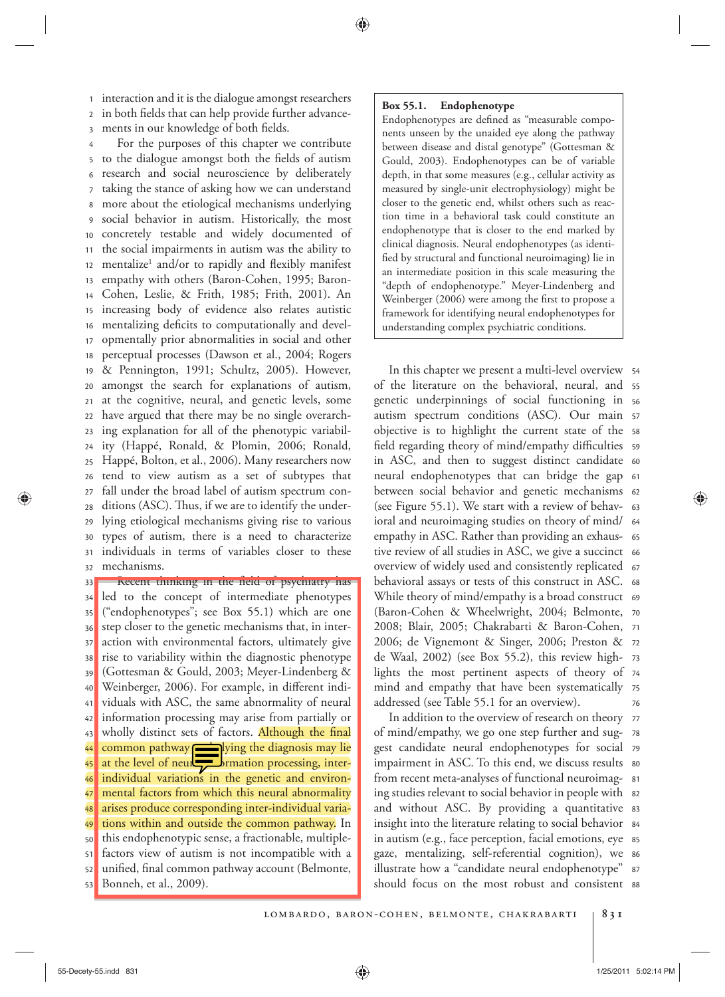3 2 <sup>1</sup> interaction and it is the dialogue amongst researchers in both fields that can help provide further advancements in our knowledge of both fields.

32 31 30 29 28 27 26 25 24 23 22 21 20 19 18 17 16 15 14 13 12 11 10 9 8 7 6 5 4 For the purposes of this chapter we contribute to the dialogue amongst both the fields of autism research and social neuroscience by deliberately taking the stance of asking how we can understand more about the etiological mechanisms underlying social behavior in autism. Historically, the most concretely testable and widely documented of the social impairments in autism was the ability to mentalize<sup>1</sup> and/or to rapidly and flexibly manifest empathy with others (Baron-Cohen, 1995; Baron-Cohen, Leslie, & Frith, 1985; Frith, 2001). An increasing body of evidence also relates autistic mentalizing deficits to computationally and developmentally prior abnormalities in social and other perceptual processes (Dawson et al., 2004; Rogers & Pennington, 1991; Schultz, 2005). However, amongst the search for explanations of autism, at the cognitive, neural, and genetic levels, some have argued that there may be no single overarching explanation for all of the phenotypic variability (Happé, Ronald, & Plomin, 2006; Ronald, Happé, Bolton, et al., 2006). Many researchers now tend to view autism as a set of subtypes that fall under the broad label of autism spectrum conditions (ASC). Thus, if we are to identify the underlying etiological mechanisms giving rise to various types of autism, there is a need to characterize individuals in terms of variables closer to these mechanisms.

53 52 51 50 49 48 47 46 45 44 43 42 41 40 39 38 37 36 35 34 33 Recent thinking in the neid of psychiatry has led to the concept of intermediate phenotypes ("endophenotypes"; see Box 55.1 ) which are one step closer to the genetic mechanisms that, in interaction with environmental factors, ultimately give rise to variability within the diagnostic phenotype (Gottesman & Gould, 2003; Meyer-Lindenberg & Weinberger, 2006). For example, in different individuals with ASC, the same abnormality of neural information processing may arise from partially or wholly distinct sets of factors. Although the final common pathway underlying the diagnosis may lie at the level of neurs formation processing, interindividual variations in the genetic and environmental factors from which this neural abnormality arises produce corresponding inter-individual variations within and outside the common pathway. In this endophenotypic sense, a fractionable, multiplefactors view of autism is not incompatible with a unified, final common pathway account (Belmonte, Bonneh, et al., 2009).

# **Box 55.1. Endophenotype**

Endophenotypes are defined as "measurable components unseen by the unaided eye along the pathway between disease and distal genotype" (Gottesman & Gould, 2003). Endophenotypes can be of variable depth, in that some measures (e.g., cellular activity as measured by single-unit electrophysiology) might be closer to the genetic end, whilst others such as reaction time in a behavioral task could constitute an endophenotype that is closer to the end marked by clinical diagnosis. Neural endophenotypes (as identi fied by structural and functional neuroimaging) lie in an intermediate position in this scale measuring the "depth of endophenotype." Meyer-Lindenberg and Weinberger (2006) were among the first to propose a framework for identifying neural endophenotypes for understanding complex psychiatric conditions.

76 mind and empathy that have been systematically 75 lights the most pertinent aspects of theory of 74 de Waal, 2002) (see Box 55.2), this review high- 73 2006; de Vignemont & Singer, 2006; Preston & 72 2008; Blair, 2005; Chakrabarti & Baron-Cohen, 71 (Baron-Cohen & Wheelwright, 2004; Belmonte, 70 While theory of mind/empathy is a broad construct 69 behavioral assays or tests of this construct in ASC. 68 67 overview of widely used and consistently replicated tive review of all studies in ASC, we give a succinct 66 empathy in ASC. Rather than providing an exhaus- 65 64 ioral and neuroimaging studies on theory of mind/ (see Figure 55.1). We start with a review of behav- 63 between social behavior and genetic mechanisms 62 61 neural endophenotypes that can bridge the gap in ASC, and then to suggest distinct candidate 60 field regarding theory of mind/empathy difficulties s9 objective is to highlight the current state of the 58 autism spectrum conditions (ASC). Our main 57 genetic underpinnings of social functioning in 56 of the literature on the behavioral, neural, and 55 54 In this chapter we present a multi-level overview addressed (see Table 55.1 for an overview).

should focus on the most robust and consistent 88 87 gaze, mentalizing, self-referential cognition), we 86 85 in autism (e.g., face perception, facial emotions, eye 84 insight into the literature relating to social behavior and without ASC. By providing a quantitative 83 ing studies relevant to social behavior in people with s2 81 from recent meta-analyses of functional neuroimagimpairment in ASC. To this end, we discuss results  $\,$  so 79 gest candidate neural endophenotypes for social of mind/empathy, we go one step further and sug- 78 In addition to the overview of research on theory 77 illustrate how a "candidate neural endophenotype"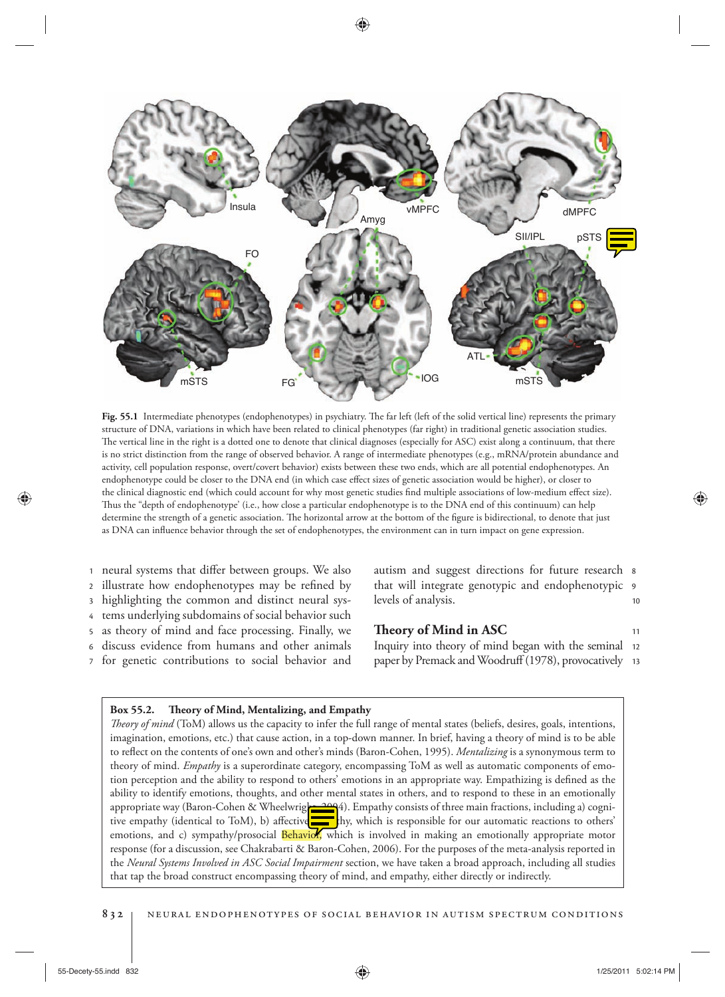

Fig. 55.1 Intermediate phenotypes (endophenotypes) in psychiatry. The far left (left of the solid vertical line) represents the primary structure of DNA, variations in which have been related to clinical phenotypes (far right) in traditional genetic association studies. The vertical line in the right is a dotted one to denote that clinical diagnoses (especially for ASC) exist along a continuum, that there is no strict distinction from the range of observed behavior. A range of intermediate phenotypes (e.g., mRNA/protein abundance and activity, cell population response, overt/covert behavior) exists between these two ends, which are all potential endophenotypes. An endophenotype could be closer to the DNA end (in which case effect sizes of genetic association would be higher), or closer to the clinical diagnostic end (which could account for why most genetic studies find multiple associations of low-medium effect size). Thus the "depth of endophenotype' (i.e., how close a particular endophenotype is to the DNA end of this continuum) can help determine the strength of a genetic association. The horizontal arrow at the bottom of the figure is bidirectional, to denote that just as DNA can influence behavior through the set of endophenotypes, the environment can in turn impact on gene expression.

- 1 neural systems that differ between groups. We also
- 2 illustrate how endophenotypes may be refined by
- 3 highlighting the common and distinct neural sys-
- 4 tems underlying subdomains of social behavior such
- 5 as theory of mind and face processing. Finally, we
- 6 discuss evidence from humans and other animals
- 7 for genetic contributions to social behavior and

10 9 that will integrate genotypic and endophenotypic autism and suggest directions for future research  $s$ levels of analysis.

# **! eory of Mind in ASC**

paper by Premack and Woodruff (1978), provocatively 13 Inquiry into theory of mind began with the seminal 12

## Box 55.2. Theory of Mind, Mentalizing, and Empathy

*! eory of mind* (ToM) allows us the capacity to infer the full range of mental states (beliefs, desires, goals, intentions, imagination, emotions, etc.) that cause action, in a top-down manner. In brief, having a theory of mind is to be able to reflect on the contents of one's own and other's minds (Baron-Cohen, 1995). *Mentalizing* is a synonymous term to theory of mind. *Empathy* is a superordinate category, encompassing ToM as well as automatic components of emotion perception and the ability to respond to others' emotions in an appropriate way. Empathizing is defined as the ability to identify emotions, thoughts, and other mental states in others, and to respond to these in an emotionally appropriate way (Baron-Cohen & Wheelwright, 2004). Empathy consists of three main fractions, including a) cognitive empathy (identical to ToM), b) affective they have the symposible for our automatic reactions to others' emotions, and c) sympathy/prosocial Behavior, which is involved in making an emotionally appropriate motor response (for a discussion, see Chakrabarti & Baron-Cohen, 2006 ). For the purposes of the meta-analysis reported in the *Neural Systems Involved in ASC Social Impairment* section, we have taken a broad approach, including all studies that tap the broad construct encompassing theory of mind, and empathy, either directly or indirectly.

♠

11

♠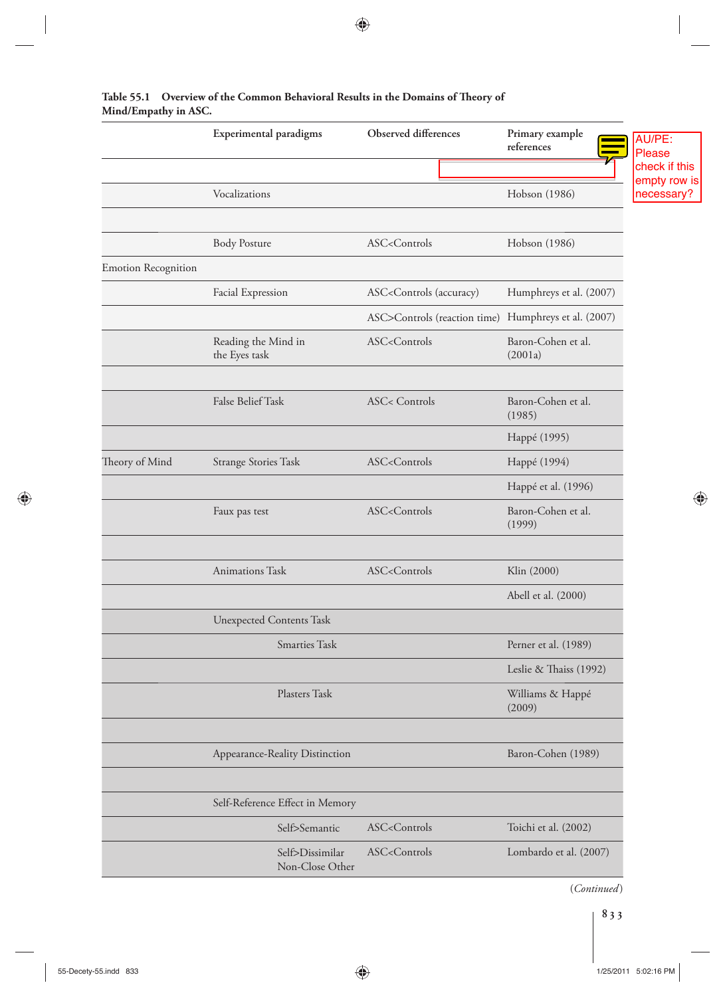|                            | Experimental paradigms               | Observed differences                                                                    | Primary example<br>references | AU/PE:<br><b>Please</b><br>check if this |
|----------------------------|--------------------------------------|-----------------------------------------------------------------------------------------|-------------------------------|------------------------------------------|
|                            | Vocalizations                        |                                                                                         | Hobson (1986)                 | empty row is<br>necessary?               |
|                            | <b>Body Posture</b>                  | ASC <controls< td=""><td>Hobson (1986)</td><td></td></controls<>                        | Hobson (1986)                 |                                          |
| <b>Emotion Recognition</b> |                                      |                                                                                         |                               |                                          |
|                            | Facial Expression                    | ASC <controls (accuracy)<="" td=""><td>Humphreys et al. (2007)</td><td></td></controls> | Humphreys et al. (2007)       |                                          |
|                            |                                      | ASC>Controls (reaction time) Humphreys et al. (2007)                                    |                               |                                          |
|                            | Reading the Mind in<br>the Eyes task | ASC <controls< td=""><td>Baron-Cohen et al.<br/>(2001a)</td><td></td></controls<>       | Baron-Cohen et al.<br>(2001a) |                                          |
|                            | False Belief Task                    | <b>ASC&lt; Controls</b>                                                                 | Baron-Cohen et al.<br>(1985)  |                                          |
|                            |                                      |                                                                                         | Happé (1995)                  |                                          |
| Theory of Mind             | <b>Strange Stories Task</b>          | ASC <controls< td=""><td>Happé (1994)</td><td></td></controls<>                         | Happé (1994)                  |                                          |
|                            |                                      |                                                                                         | Happé et al. (1996)           |                                          |
|                            | Faux pas test                        | ASC <controls< td=""><td>Baron-Cohen et al.<br/>(1999)</td><td>⊕</td></controls<>       | Baron-Cohen et al.<br>(1999)  | ⊕                                        |
|                            | Animations Task                      | ASC <controls< td=""><td>Klin (2000)</td><td></td></controls<>                          | Klin (2000)                   |                                          |
|                            |                                      |                                                                                         | Abell et al. (2000)           |                                          |
|                            | <b>Unexpected Contents Task</b>      |                                                                                         |                               |                                          |
|                            | Smarties Task                        |                                                                                         | Perner et al. (1989)          |                                          |
|                            |                                      |                                                                                         | Leslie & Thaiss (1992)        |                                          |
|                            | Plasters Task                        |                                                                                         | Williams & Happé<br>(2009)    |                                          |
|                            | Appearance-Reality Distinction       |                                                                                         | Baron-Cohen (1989)            |                                          |
|                            |                                      |                                                                                         |                               |                                          |
|                            | Self-Reference Effect in Memory      |                                                                                         |                               |                                          |
|                            | Self>Semantic                        | ASC <controls< td=""><td>Toichi et al. (2002)</td><td></td></controls<>                 | Toichi et al. (2002)          |                                          |
|                            | Self>Dissimilar<br>Non-Close Other   | ASC <controls< td=""><td>Lombardo et al. (2007)</td><td></td></controls<>               | Lombardo et al. (2007)        |                                          |

# Table 55.1 Overview of the Common Behavioral Results in the Domains of Theory of **Mind/Empathy in ASC.**

 $\bigoplus$ 

(*Continued* )

 $\overline{\phantom{a}}$ 

 $\bigoplus$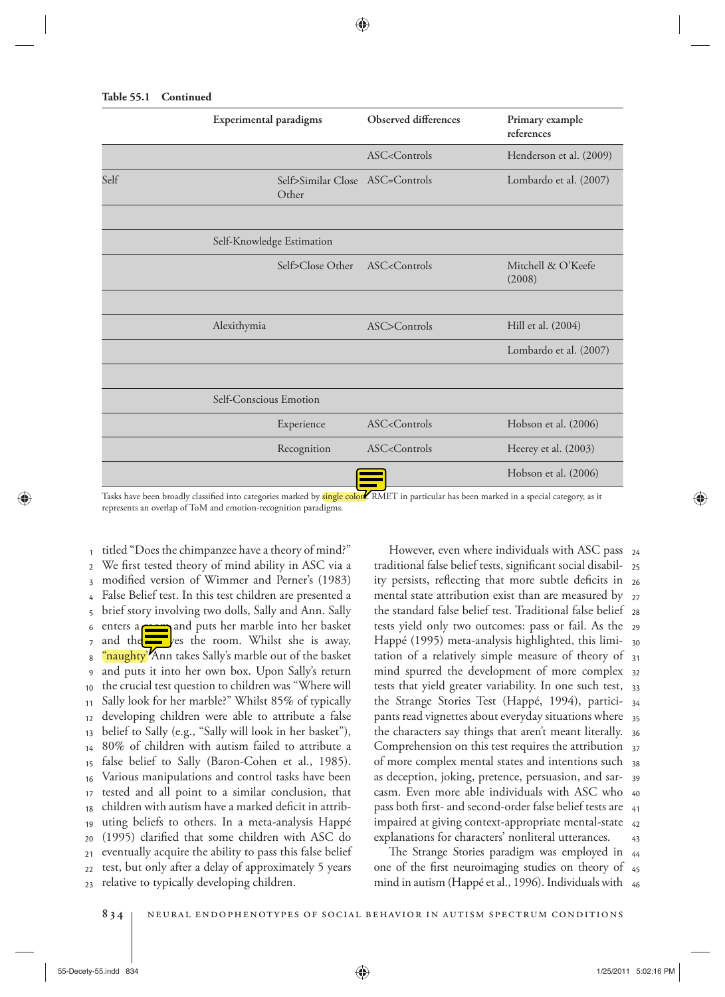| <b>Table 55.1</b> | Continued |
|-------------------|-----------|
|                   |           |

|      | Experimental paradigms                                                                                                                      | Observed differences                                                        | Primary example<br>references |  |  |  |
|------|---------------------------------------------------------------------------------------------------------------------------------------------|-----------------------------------------------------------------------------|-------------------------------|--|--|--|
|      |                                                                                                                                             | ASC <controls< td=""><td>Henderson et al. (2009)</td></controls<>           | Henderson et al. (2009)       |  |  |  |
| Self | Self>Similar Close ASC=Controls<br>Other                                                                                                    |                                                                             | Lombardo et al. (2007)        |  |  |  |
|      |                                                                                                                                             |                                                                             |                               |  |  |  |
|      | Self-Knowledge Estimation                                                                                                                   |                                                                             |                               |  |  |  |
|      | Self>Close Other                                                                                                                            | ASC <controls< td=""><td>Mitchell &amp; O'Keefe<br/>(2008)</td></controls<> | Mitchell & O'Keefe<br>(2008)  |  |  |  |
|      |                                                                                                                                             |                                                                             |                               |  |  |  |
|      | Alexithymia                                                                                                                                 | ASC>Controls                                                                | Hill et al. (2004)            |  |  |  |
|      |                                                                                                                                             |                                                                             | Lombardo et al. (2007)        |  |  |  |
|      |                                                                                                                                             |                                                                             |                               |  |  |  |
|      | Self-Conscious Emotion                                                                                                                      |                                                                             |                               |  |  |  |
|      | Experience                                                                                                                                  | ASC <controls< td=""><td>Hobson et al. (2006)</td></controls<>              | Hobson et al. (2006)          |  |  |  |
|      | Recognition                                                                                                                                 | $ASC <$ Controls                                                            | Heerey et al. (2003)          |  |  |  |
|      |                                                                                                                                             |                                                                             | Hobson et al. (2006)          |  |  |  |
|      | Tasks have been broadly classified into categories marked by single colors. RMET in particular has been marked in a special category, as it |                                                                             |                               |  |  |  |

Tasks have been broadly classified into categories marked by <mark>single colors</mark>. RMET in particular has been marked in a special category, as it represents an overlap of ToM and emotion-recognition paradigms.

 $23$ 22 21  $20$ 19 18 17 16 15 14 13 12 11 10  $\overline{9}$ 8 7 6 5 4 3  $\overline{\phantom{a}}$  $_1$  titled "Does the chimpanzee have a theory of mind?" We first tested theory of mind ability in ASC via a modified version of Wimmer and Perner's (1983) False Belief test. In this test children are presented a brief story involving two dolls, Sally and Ann. Sally enters a **room** and puts her marble into her basket and the leaves the room. Whilst she is away, '<mark>naughty''</mark> Ann takes Sally's marble out of the basket and puts it into her own box. Upon Sally's return the crucial test question to children was "Where will Sally look for her marble?" Whilst 85% of typically developing children were able to attribute a false belief to Sally (e.g., "Sally will look in her basket"), 80% of children with autism failed to attribute a false belief to Sally (Baron-Cohen et al., 1985). Various manipulations and control tasks have been tested and all point to a similar conclusion, that children with autism have a marked deficit in attributing beliefs to others. In a meta-analysis Happé  $(1995)$  clarified that some children with ASC do eventually acquire the ability to pass this false belief test, but only after a delay of approximately 5 years relative to typically developing children.

43 42 pass both first- and second-order false belief tests are 41 casm. Even more able individuals with ASC who 40 39 of more complex mental states and intentions such 38 Comprehension on this test requires the attribution  $\frac{37}{2}$ the characters say things that aren't meant literally. <sub>36</sub> 35 34 tests that yield greater variability. In one such test, 33 mind spurred the development of more complex 32 tation of a relatively simple measure of theory of <sub>31</sub> Happé (1995) meta-analysis highlighted, this limi- <sub>30</sub> tests yield only two outcomes: pass or fail. As the <sub>29</sub> 28 mental state attribution exist than are measured by  $_{\,27}$ ity persists, reflecting that more subtle deficits in <sub>26</sub> traditional false belief tests, significant social disabil- <sub>25</sub> However, even where individuals with ASC pass 24 the standard false belief test. Traditional false belief the Strange Stories Test (Happé, 1994), participants read vignettes about everyday situations where as deception, joking, pretence, persuasion, and sarimpaired at giving context-appropriate mental-state explanations for characters' nonliteral utterances.

mind in autism (Happé et al., 1996). Individuals with 46 one of the first neuroimaging studies on theory of 45 The Strange Stories paradigm was employed in 44

⊕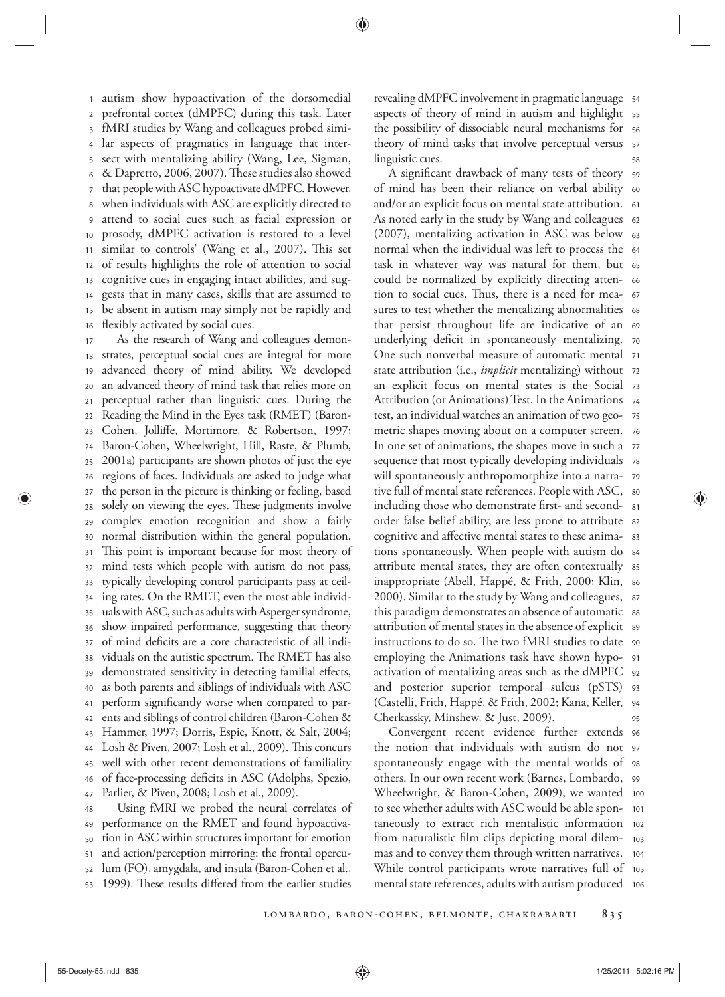16 15 14 13 12 11 10 9 8 7 6 5 4 3 2 <sup>1</sup> autism show hypoactivation of the dorsomedial prefrontal cortex (dMPFC) during this task. Later fMRI studies by Wang and colleagues probed similar aspects of pragmatics in language that intersect with mentalizing ability (Wang, Lee, Sigman, & Dapretto, 2006, 2007). These studies also showed that people with ASC hypoactivate dMPFC. However, when individuals with ASC are explicitly directed to attend to social cues such as facial expression or prosody, dMPFC activation is restored to a level similar to controls' (Wang et al., 2007). This set of results highlights the role of attention to social cognitive cues in engaging intact abilities, and suggests that in many cases, skills that are assumed to be absent in autism may simply not be rapidly and flexibly activated by social cues.

47 46 45 44 43 42 41 40 39 38 37 36 35 34 33 32 31 30 29 28 27 26 25 24 23 22 21 20 19 18 17 As the research of Wang and colleagues demonstrates, perceptual social cues are integral for more advanced theory of mind ability. We developed an advanced theory of mind task that relies more on perceptual rather than linguistic cues. During the Reading the Mind in the Eyes task (RMET) (Baron-Cohen, Jolliffe, Mortimore, & Robertson, 1997; Baron-Cohen, Wheelwright, Hill, Raste, & Plumb, 2001a) participants are shown photos of just the eye regions of faces. Individuals are asked to judge what the person in the picture is thinking or feeling, based solely on viewing the eyes. These judgments involve complex emotion recognition and show a fairly normal distribution within the general population. This point is important because for most theory of mind tests which people with autism do not pass, typically developing control participants pass at ceiling rates. On the RMET, even the most able individuals with ASC, such as adults with Asperger syndrome, show impaired performance, suggesting that theory of mind deficits are a core characteristic of all individuals on the autistic spectrum. The RMET has also demonstrated sensitivity in detecting familial effects, as both parents and siblings of individuals with ASC perform significantly worse when compared to parents and siblings of control children (Baron-Cohen & Hammer, 1997; Dorris, Espie, Knott, & Salt, 2004; Losh & Piven, 2007; Losh et al., 2009). This concurs well with other recent demonstrations of familiality of face-processing deficits in ASC (Adolphs, Spezio, Parlier, & Piven, 2008; Losh et al., 2009).

53 52 51 50 49 48 Using fMRI we probed the neural correlates of performance on the RMET and found hypoactivation in ASC within structures important for emotion and action/perception mirroring: the frontal operculum (FO), amygdala, and insula (Baron-Cohen et al., 1999). These results differed from the earlier studies

58 57 56 aspects of theory of mind in autism and highlight 55 54 revealing dMPFC involvement in pragmatic language the possibility of dissociable neural mechanisms for theory of mind tasks that involve perceptual versus linguistic cues.

95 (Castelli, Frith, Happé, & Frith, 2002; Kana, Keller, 94 and posterior superior temporal sulcus (pSTS) 93 92 91 instructions to do so. The two fMRI studies to date 90 attribution of mental states in the absence of explicit  $\,$  ss this paradigm demonstrates an absence of automatic ss 87 inappropriate (Abell, Happé, & Frith, 2000; Klin, s6 attribute mental states, they are often contextually  $\,$  ss 84 tions spontaneously. When people with autism do 83 order false belief ability, are less prone to attribute s2 including those who demonstrate first- and second-  $\,$  s1 80 79 will spontaneously anthropomorphize into a narrasequence that most typically developing individuals  $\,$  78  $\,$ In one set of animations, the shapes move in such a  $\,$  77  $\,$ 76 test, an individual watches an animation of two geo- 75 Attribution (or Animations) Test. In the Animations 74 an explicit focus on mental states is the Social 73 state attribution (i.e., *implicit* mentalizing) without 72 One such nonverbal measure of automatic mental 71 70 that persist throughout life are indicative of an 69 sures to test whether the mentalizing abnormalities 68 tion to social cues. Thus, there is a need for mea- 67 could be normalized by explicitly directing atten- 66 task in whatever way was natural for them, but 65 64 normal when the individual was left to process the (2007), mentalizing activation in ASC was below 63 As noted early in the study by Wang and colleagues  $\,$  62  $\,$ and/or an explicit focus on mental state attribution. 61 of mind has been their reliance on verbal ability 60 A significant drawback of many tests of theory s9 underlying deficit in spontaneously mentalizing. metric shapes moving about on a computer screen. tive full of mental state references. People with ASC, cognitive and affective mental states to these anima-2000). Similar to the study by Wang and colleagues, employing the Animations task have shown hypoactivation of mentalizing areas such as the dMPFC Cherkassky, Minshew, & Just, 2009).

mental state references, adults with autism produced 106 While control participants wrote narratives full of 105 mas and to convey them through written narratives. 104 103 102 101 Wheelwright, & Baron-Cohen, 2009), we wanted 100 99 spontaneously engage with the mental worlds of 98 97 the notion that individuals with autism do not Convergent recent evidence further extends 96 others. In our own recent work (Barnes, Lombardo, to see whether adults with ASC would be able spontaneously to extract rich mentalistic information from naturalistic film clips depicting moral dilem-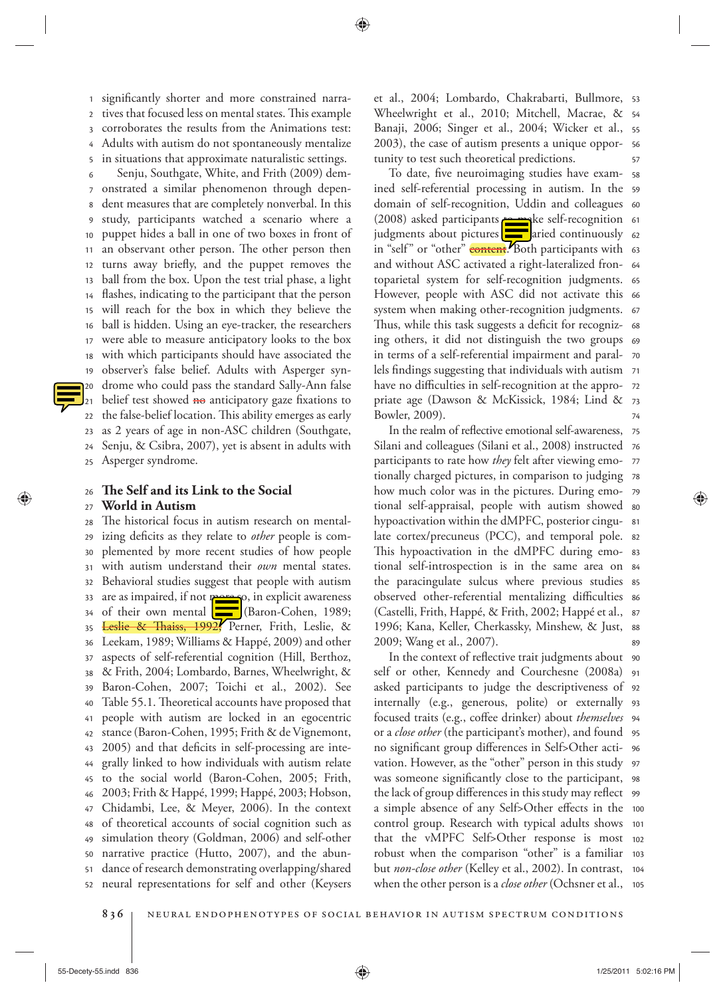5 4 3 2 1 significantly shorter and more constrained narratives that focused less on mental states. This example corroborates the results from the Animations test: Adults with autism do not spontaneously mentalize in situations that approximate naturalistic settings.

25 24 23 22 21 20 19 18 17 16 15 14 13 12 11 10 9 8 7 6 Senju, Southgate, White, and Frith (2009) demonstrated a similar phenomenon through dependent measures that are completely nonverbal. In this study, participants watched a scenario where a puppet hides a ball in one of two boxes in front of an observant other person. The other person then turns away briefly, and the puppet removes the ball from the box. Upon the test trial phase, a light flashes, indicating to the participant that the person will reach for the box in which they believe the ball is hidden. Using an eye-tracker, the researchers were able to measure anticipatory looks to the box with which participants should have associated the observer's false belief. Adults with Asperger syndrome who could pass the standard Sally-Ann false belief test showed  $\overline{m}$  anticipatory gaze fixations to the false-belief location. This ability emerges as early as 2 years of age in non-ASC children (Southgate, Senju, & Csibra, 2007), yet is absent in adults with Asperger syndrome.

26 **! e Self and its Link to the Social** 

#### 27 **World in Autism**

⊕

52 51 50 49 48 47 46 45 44 43 42 41 40 39 38 37 36 35 34 33 32 31 30 29 28 The historical focus in autism research on mentalizing deficits as they relate to *other* people is complemented by more recent studies of how people with autism understand their *own* mental states. Behavioral studies suggest that people with autism are as impaired, if not more so, in explicit awareness of their own mental  $\boxed{\phantom{1}}$  (Baron-Cohen, 1989; Leslie & Thaiss, 1992, Perner, Frith, Leslie, & Leekam, 1989; Williams & Happé, 2009) and other aspects of self-referential cognition (Hill, Berthoz, & Frith, 2004; Lombardo, Barnes, Wheelwright, & Baron-Cohen, 2007; Toichi et al., 2002). See Table 55.1. Theoretical accounts have proposed that people with autism are locked in an egocentric stance (Baron-Cohen, 1995; Frith & de Vignemont, 2005) and that deficits in self-processing are integrally linked to how individuals with autism relate to the social world (Baron-Cohen, 2005; Frith, 2003; Frith & Happé, 1999; Happé, 2003; Hobson, Chidambi, Lee, & Meyer, 2006). In the context of theoretical accounts of social cognition such as simulation theory (Goldman, 2006) and self-other narrative practice (Hutto, 2007), and the abundance of research demonstrating overlapping/shared neural representations for self and other (Keysers

57 56 55 Wheelwright et al., 2010; Mitchell, Macrae, & 54 et al., 2004; Lombardo, Chakrabarti, Bullmore, 53 Banaji, 2006; Singer et al., 2004; Wicker et al., 2003), the case of autism presents a unique opportunity to test such theoretical predictions.

74 priate age (Dawson & McKissick, 1984; Lind & 73 have no difficulties in self-recognition at the appro- 72 lels findings suggesting that individuals with autism <sup>71</sup> 70 ing others, it did not distinguish the two groups 69 68 system when making other-recognition judgments. 67 However, people with ASC did not activate this 66 toparietal system for self-recognition judgments. 65 64 in "self" or "other" <mark>content</mark>. Both participants with 63 62 (2008) asked participants **to ma**ke self-recognition 61 domain of self-recognition, Uddin and colleagues 60 ined self-referential processing in autism. In the 59 58 To date, five neuroimaging studies have examjudgments about pictures **that varied continuously** and without ASC activated a right-lateralized fron-Thus, while this task suggests a deficit for recognizin terms of a self-referential impairment and paral-Bowler, 2009).

89 1996; Kana, Keller, Cherkassky, Minshew, & Just, 88 (Castelli, Frith, Happé, & Frith, 2002; Happé et al., 87 observed other-referential mentalizing difficulties 86 the paracingulate sulcus where previous studies 85 tional self-introspection is in the same area on 84 83 82 81 hypoactivation within the dMPFC, posterior cingutional self-appraisal, people with autism showed so 79 78 77 76 75 In the realm of reflective emotional self-awareness, Silani and colleagues (Silani et al., 2008) instructed participants to rate how *they* felt after viewing emotionally charged pictures, in comparison to judging how much color was in the pictures. During emolate cortex/precuneus (PCC), and temporal pole. This hypoactivation in the dMPFC during emo-2009; Wang et al., 2007).

when the other person is a *close other* (Ochsner et al., 105 104 robust when the comparison "other" is a familiar 103 that the vMPFC Self>Other response is most 102 control group. Research with typical adults shows 101 a simple absence of any Self>Other effects in the 100 the lack of group differences in this study may reflect 99 was someone significantly close to the participant, 98 vation. However, as the "other" person in this study 97 no significant group differences in Self>Other acti- 96 or a *close other* (the participant's mother), and found 95 focused traits (e.g., coffee drinker) about *themselves* 94 93 internally (e.g., generous, polite) or externally asked participants to judge the descriptiveness of 92 91 In the context of reflective trait judgments about 90 self or other, Kennedy and Courchesne (2008a) but *non-close other* (Kelley et al., 2002). In contrast,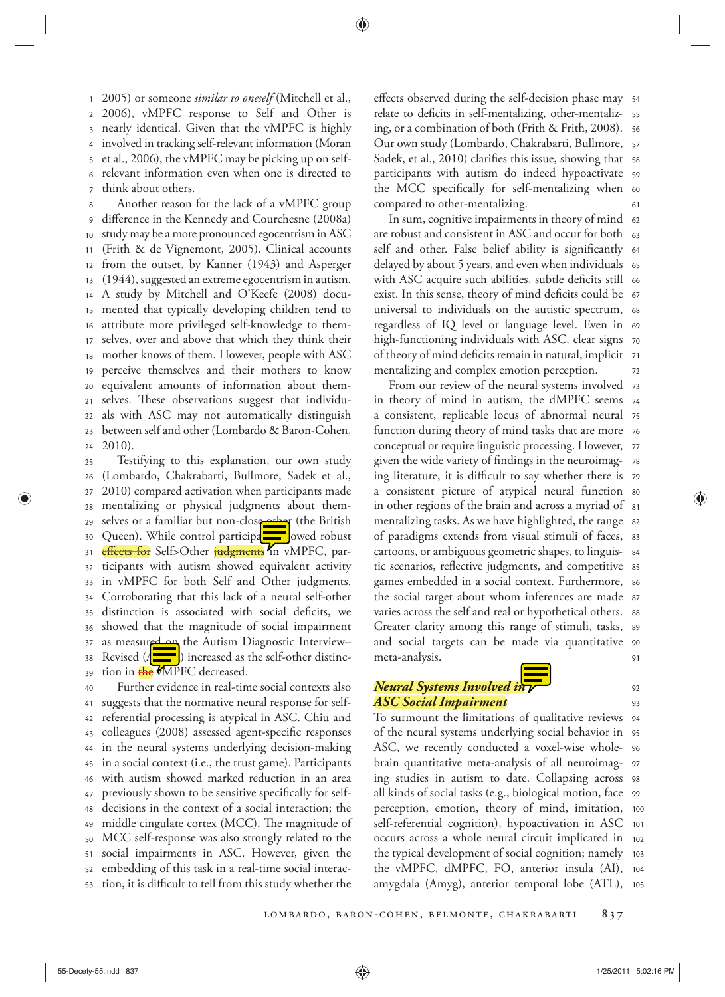7 6 5 4 3 2 <sup>1</sup> 2005 ) or someone *similar to oneself* (Mitchell et al., 2006), vMPFC response to Self and Other is nearly identical. Given that the vMPFC is highly involved in tracking self-relevant information (Moran et al., 2006), the vMPFC may be picking up on selfrelevant information even when one is directed to think about others.

24 23 22 21 20 19 18 17 16 15 14 13 12 11 10 9 8 Another reason for the lack of a vMPFC group difference in the Kennedy and Courchesne (2008a) study may be a more pronounced egocentrism in ASC (Frith & de Vignemont, 2005). Clinical accounts from the outset, by Kanner (1943) and Asperger (1944), suggested an extreme egocentrism in autism. A study by Mitchell and O'Keefe (2008) documented that typically developing children tend to attribute more privileged self-knowledge to themselves, over and above that which they think their mother knows of them. However, people with ASC perceive themselves and their mothers to know equivalent amounts of information about themselves. These observations suggest that individuals with ASC may not automatically distinguish between self and other (Lombardo & Baron-Cohen,  $2010$ .

39 38 37 36 35 34 33 32 31 30 29 28 27 26 25 Testifying to this explanation, our own study (Lombardo, Chakrabarti, Bullmore, Sadek et al., 2010 ) compared activation when participants made mentalizing or physical judgments about themselves or a familiar but non-close other (the British Queen). While control participants owed robust e<del>ffects for</del> Self>Other <del>judgments</del> in vMPFC, participants with autism showed equivalent activity in vMPFC for both Self and Other judgments. Corroborating that this lack of a neural self-other distinction is associated with social deficits, we showed that the magnitude of social impairment as measured on the Autism Diagnostic Interview– Revised ( $\Lambda$   $\equiv$  ) increased as the self-other distinction in the VMPFC decreased.

53 52 51 50 49 48 47 46 45 44 43 42 41 40 Further evidence in real-time social contexts also suggests that the normative neural response for selfreferential processing is atypical in ASC. Chiu and colleagues (2008) assessed agent-specific responses in the neural systems underlying decision-making in a social context (i.e., the trust game). Participants with autism showed marked reduction in an area previously shown to be sensitive specifically for selfdecisions in the context of a social interaction; the middle cingulate cortex (MCC). The magnitude of MCC self-response was also strongly related to the social impairments in ASC. However, given the embedding of this task in a real-time social interaction, it is difficult to tell from this study whether the

61 the MCC specifically for self-mentalizing when 60 participants with autism do indeed hypoactivate 59 Sadek, et al., 2010) clarifies this issue, showing that ss 57 56 55 effects observed during the self-decision phase may 54 relate to deficits in self-mentalizing, other-mentalizing, or a combination of both (Frith & Frith, 2008 ). Our own study (Lombardo, Chakrabarti, Bullmore, compared to other-mentalizing.

72 of theory of mind deficits remain in natural, implicit 71 high-functioning individuals with ASC, clear signs  $\,$  70  $\,$ 69 universal to individuals on the autistic spectrum, 68 exist. In this sense, theory of mind deficits could be 67 with ASC acquire such abilities, subtle deficits still 66 delayed by about 5 years, and even when individuals 65 self and other. False belief ability is significantly 64 are robust and consistent in ASC and occur for both  $\,$  63  $\,$ In sum, cognitive impairments in theory of mind 62 regardless of IQ level or language level. Even in mentalizing and complex emotion perception.

91 and social targets can be made via quantitative 90 Greater clarity among this range of stimuli, tasks, 89 varies across the self and real or hypothetical others.  $\,$  ss the social target about whom inferences are made 87 games embedded in a social context. Furthermore,  $\,$  s6  $\,$ tic scenarios, reflective judgments, and competitive ss 84 83 82 mentalizing tasks. As we have highlighted, the range 81 in other regions of the brain and across a myriad of a consistent picture of atypical neural function 80 ing literature, it is difficult to say whether there is 79 78 conceptual or require linguistic processing. However, 77 76 function during theory of mind tasks that are more 75 a consistent, replicable locus of abnormal neural in theory of mind in autism, the dMPFC seems 74 From our review of the neural systems involved 73 given the wide variety of findings in the neuroimagof paradigms extends from visual stimuli of faces, cartoons, or ambiguous geometric shapes, to linguismeta-analysis.

# *Neural Systems Involved in ASC Social Impairment*

⊕

amygdala (Amyg), anterior temporal lobe (ATL), 105 104 the vMPFC, dMPFC, FO, anterior insula (AI), the typical development of social cognition; namely 103 occurs across a whole neural circuit implicated in 102 101 100 all kinds of social tasks (e.g., biological motion, face  $\,$  99  $\,$ ing studies in autism to date. Collapsing across 98 brain quantitative meta-analysis of all neuroimag- 97 ASC, we recently conducted a voxel-wise whole- 96 95 of the neural systems underlying social behavior in To surmount the limitations of qualitative reviews 94 perception, emotion, theory of mind, imitation, self-referential cognition), hypoactivation in ASC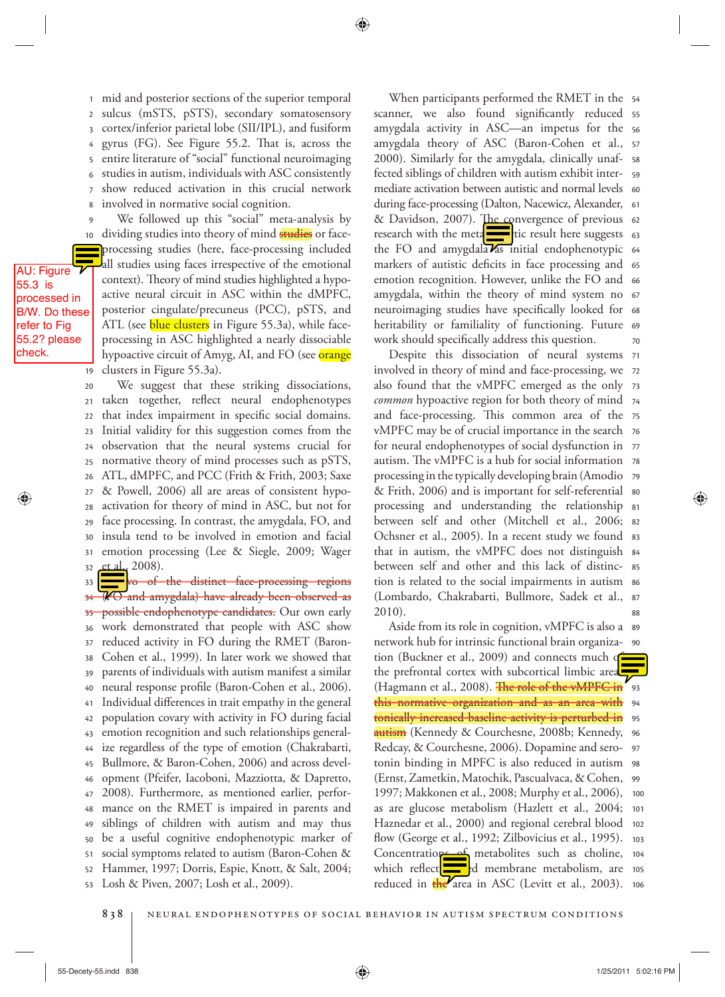8 7 6 5 4 3 2 <sup>1</sup> mid and posterior sections of the superior temporal sulcus (mSTS, pSTS), secondary somatosensory cortex/inferior parietal lobe (SII/IPL), and fusiform gyrus (FG). See Figure 55.2. That is, across the entire literature of "social" functional neuroimaging studies in autism, individuals with ASC consistently show reduced activation in this crucial network involved in normative social cognition.

19 18 17 16 B/W. Do these 14 13  $\overline{\phantom{0}}$ 11 10  $\overline{9}$  We followed up this "social" meta-analysis by dividing studies into theory of mind studies or faceprocessing studies (here, face-processing included all studies using faces irrespective of the emotional context). Theory of mind studies highlighted a hypoactive neural circuit in ASC within the dMPFC, posterior cingulate/precuneus (PCC), pSTS, and ATL (see blue clusters in Figure 55.3a), while faceprocessing in ASC highlighted a nearly dissociable hypoactive circuit of Amyg, AI, and FO (see orange clusters in Figure 55.3a).

AU: Figure 55.3 is processed in

7

refer to Fig 55.2? please check.

> 32 31 30 29 28 27 26 25 24 23 22 21 20 We suggest that these striking dissociations, taken together, reflect neural endophenotypes that index impairment in specific social domains. Initial validity for this suggestion comes from the observation that the neural systems crucial for normative theory of mind processes such as pSTS, ATL, dMPFC, and PCC (Frith & Frith, 2003; Saxe & Powell, 2006) all are areas of consistent hypoactivation for theory of mind in ASC, but not for face processing. In contrast, the amygdala, FO, and insula tend to be involved in emotion and facial emotion processing (Lee & Siegle, 2009; Wager et al., 2008).

> 53 52 51 50 49 48 47 46 45 44 43 42 41 40 39 38 37 36 35 34 33 **F** vo of the distinct face-processing regions  $\overline{\Psi\text{O}}$  and amygdala) have already been observed as possible endophenotype candidates. Our own early work demonstrated that people with ASC show reduced activity in FO during the RMET (Baron-Cohen et al., 1999). In later work we showed that parents of individuals with autism manifest a similar neural response profile (Baron-Cohen et al., 2006). Individual differences in trait empathy in the general population covary with activity in FO during facial emotion recognition and such relationships generalize regardless of the type of emotion (Chakrabarti, Bullmore, & Baron-Cohen, 2006) and across development (Pfeifer, Iacoboni, Mazziotta, & Dapretto, 2008). Furthermore, as mentioned earlier, performance on the RMET is impaired in parents and siblings of children with autism and may thus be a useful cognitive endophenotypic marker of social symptoms related to autism (Baron-Cohen & Hammer, 1997; Dorris, Espie, Knott, & Salt, 2004; Losh & Piven, 2007; Losh et al., 2009).

70 heritability or familiality of functioning. Future 69 neuroimaging studies have specifically looked for 68 amygdala, within the theory of mind system no 67 emotion recognition. However, unlike the FO and 66 markers of autistic deficits in face processing and 65 the FO and amygdala as initial endophenotypic 64 research with the meta**ne the summan tend of the suggests** 63 & Davidson, 2007). The convergence of previous 62 during face-processing (Dalton, Nacewicz, Alexander, 61 mediate activation between autistic and normal levels 60 fected siblings of children with autism exhibit inter- 59 58 57 amygdala theory of ASC (Baron-Cohen et al., amygdala activity in ASC—an impetus for the 56 scanner, we also found significantly reduced ss When participants performed the RMET in the 54 2000). Similarly for the amygdala, clinically unafwork should specifically address this question.

88 87 tion is related to the social impairments in autism s6 85 84 Ochsner et al., 2005). In a recent study we found 83 between self and other (Mitchell et al., 2006; 82 processing and understanding the relationship 81 & Frith, 2006) and is important for self-referential so 79 processing in the typically developing brain (Amodio autism. The vMPFC is a hub for social information  $\,$  78  $\,$ 77 for neural endophenotypes of social dysfunction in vMPFC may be of crucial importance in the search 76 and face-processing. This common area of the 75 common hypoactive region for both theory of mind 74 also found that the vMPFC emerged as the only 73 72 involved in theory of mind and face-processing, we Despite this dissociation of neural systems 71 that in autism, the vMPFC does not distinguish between self and other and this lack of distinc-(Lombardo, Chakrabarti, Bullmore, Sadek et al.,  $2010$ ).

reduced in the area in ASC (Levitt et al., 2003). 106 which reflect all depends membrane metabolism, are 105 Concentrations of metabolites such as choline, 104 flow (George et al., 1992; Zilbovicius et al., 1995).  $\,$  103 Haznedar et al., 2000) and regional cerebral blood  $\,$  102  $\,$ as are glucose metabolism (Hazlett et al., 2004; 101 1997; Makkonen et al., 2008; Murphy et al., 2006), 100 99 98 97 <del>autism</del> (Kennedy & Courchesne, 2008b; Kennedy, 96 **tonically increased baseline activity is perturbed in** 95 <del>this normative organization and as an area with</del> 94 (Hagmann et al., 2008). <del>The role of the vMPFC in</del> '93 92 tion (Buckner et al., 2009) and connects much of 90 network hub for intrinsic functional brain organiza-Aside from its role in cognition, vMPFC is also a  $\,$  s9  $\,$ the prefrontal cortex with subcortical limbic area Redcay, & Courchesne, 2006). Dopamine and serotonin binding in MPFC is also reduced in autism (Ernst, Zametkin, Matochik, Pascualvaca, & Cohen,

838 | NEURAL ENDOPHENOTYPES OF SOCIAL BEHAVIOR IN AUTISM SPECTRUM CONDITIONS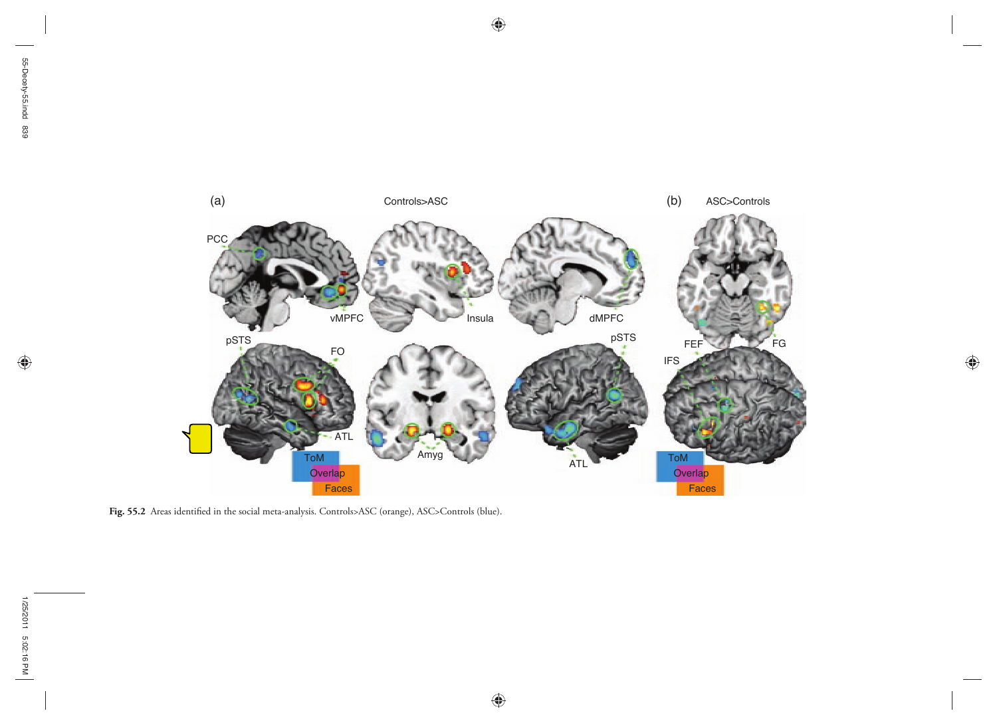$\bigoplus$ 



 $\bigoplus$ 

 $\bigoplus$ 

Fig. 55.2 Areas identified in the social meta-analysis. Controls>ASC (orange), ASC>Controls (blue).

 $\bigoplus$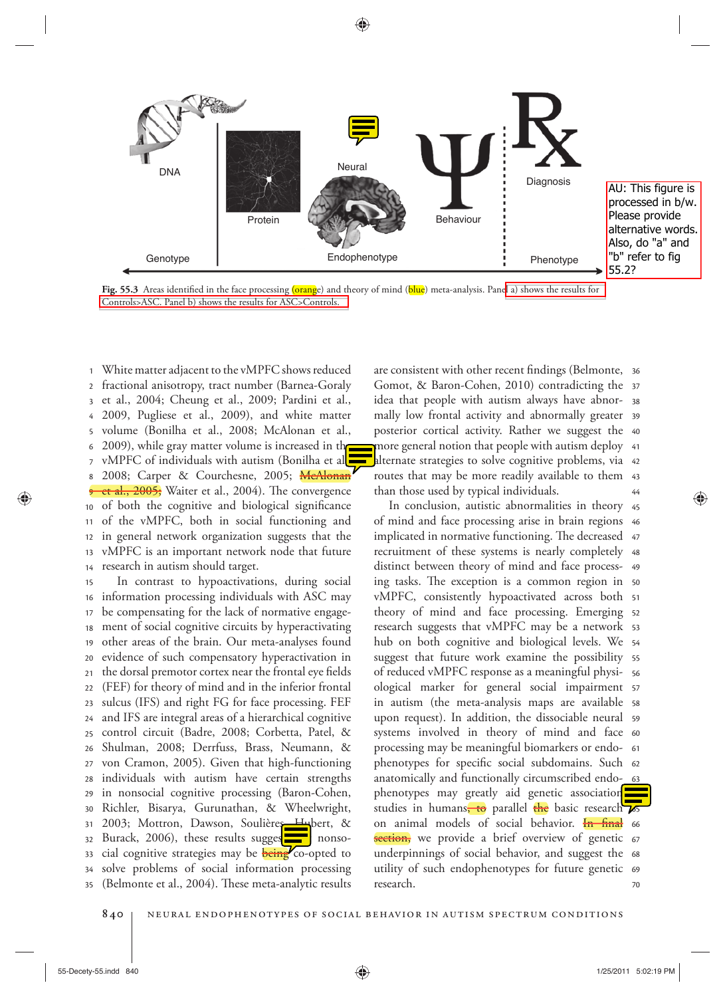



14 13 12 11 10 9 8 7 6 5 4 3 2 <sup>1</sup> White matter adjacent to the vMPFC shows reduced fractional anisotropy, tract number (Barnea-Goraly et al., 2004; Cheung et al., 2009; Pardini et al., 2009, Pugliese et al., 2009), and white matter volume (Bonilha et al., 2008; McAlonan et al., 2009), while gray matter volume is increased in the vMPFC of individuals with autism (Bonilha et al. 2008; Carper & Courchesne, 2005; McAlonan <del>et al., 2005;</del> Waiter et al., 2004). The convergence of both the cognitive and biological significance of the vMPFC, both in social functioning and in general network organization suggests that the vMPFC is an important network node that future research in autism should target.

35 34 33 32 31 30 29 28 27 26 25 24 23 22 21 20 19 18 17 16 15 In contrast to hypoactivations, during social information processing individuals with ASC may be compensating for the lack of normative engagement of social cognitive circuits by hyperactivating other areas of the brain. Our meta-analyses found evidence of such compensatory hyperactivation in the dorsal premotor cortex near the frontal eye fields (FEF) for theory of mind and in the inferior frontal sulcus (IFS) and right FG for face processing. FEF and IFS are integral areas of a hierarchical cognitive control circuit (Badre, 2008; Corbetta, Patel, & Shulman, 2008; Derrfuss, Brass, Neumann, & von Cramon, 2005). Given that high-functioning individuals with autism have certain strengths in nonsocial cognitive processing (Baron-Cohen, Richler, Bisarya, Gurunathan, & Wheelwright, 2003; Mottron, Dawson, Soulières, Hybert, & Burack, 2006), these results sugges $\frac{1}{\sqrt{1-\frac{1}{n}}}$  nonsocial cognitive strategies may be **being** co-opted to solve problems of social information processing (Belmonte et al., 2004). These meta-analytic results

44 43 routes that may be more readily available to them alternate strategies to solve cognitive problems, via 42 more general notion that people with autism deploy  $\,$  41  $\,$ 40 posterior cortical activity. Rather we suggest the 39 mally low frontal activity and abnormally greater idea that people with autism always have abnor- 38 Gomot, & Baron-Cohen, 2010) contradicting the 37 are consistent with other recent findings (Belmonte, 36 than those used by typical individuals.

70 utility of such endophenotypes for future genetic 69 underpinnings of social behavior, and suggest the 68 <del>section,</del> we provide a brief overview of genetic 67 on animal models of social behavior. <mark><del>In final</del> 66</mark> studies in humans<del>, to</del> parallel <mark>the</mark> basic research **7**5 phenotypes may greatly aid genetic association anatomically and functionally circumscribed endo-<u>\_\_63</u> phenotypes for specific social subdomains. Such 62 61 processing may be meaningful biomarkers or endosystems involved in theory of mind and face 60 upon request). In addition, the dissociable neural 59 in autism (the meta-analysis maps are available ss 57 ological marker for general social impairment 56 of reduced vMPFC response as a meaningful physisuggest that future work examine the possibility 55 54 hub on both cognitive and biological levels. We research suggests that vMPFC may be a network 53 theory of mind and face processing. Emerging 52 51 vMPFC, consistently hypoactivated across both ing tasks. The exception is a common region in 50 distinct between theory of mind and face process- 49 recruitment of these systems is nearly completely 48 implicated in normative functioning. The decreased 47 46 of mind and face processing arise in brain regions In conclusion, autistic abnormalities in theory 45 research.

⊕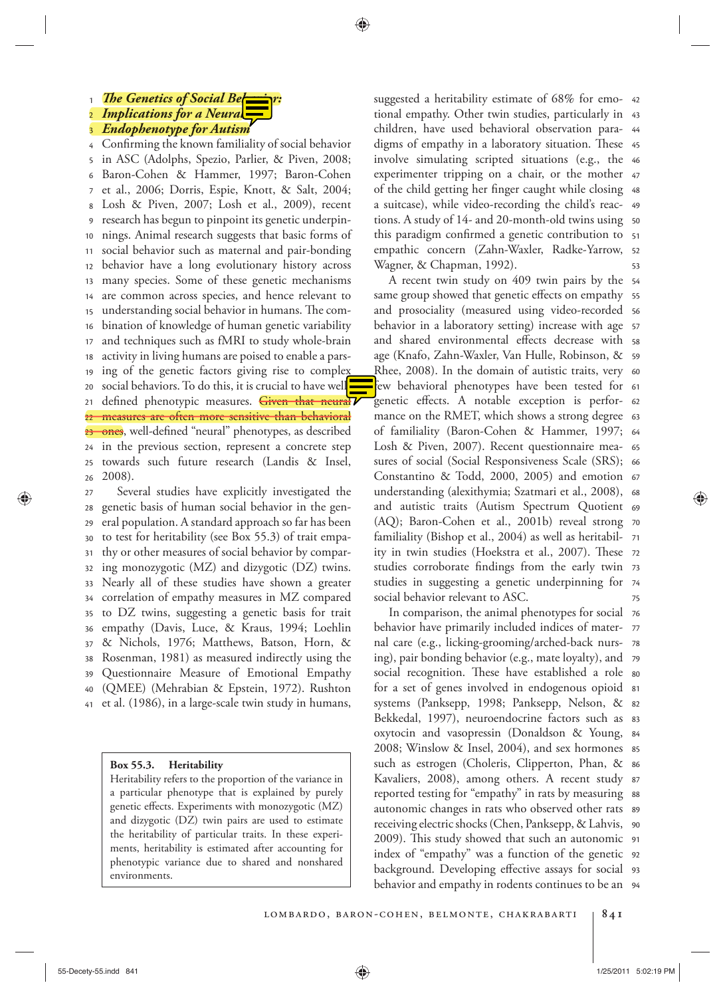# **1** *The Genetics of Social Behavior*

 $\overline{2}$ *Implications for a Neural* 

3 *Endophenotype for Autism* 

26 25 24 23 22 21  $20$ 19 18 17 16 15 14 13 12 11 10 9 8 7 6 5 4 Confirming the known familiality of social behavior in ASC (Adolphs, Spezio, Parlier, & Piven, 2008; Baron-Cohen & Hammer, 1997; Baron-Cohen et al., 2006; Dorris, Espie, Knott, & Salt, 2004; Losh & Piven,  $2007$ ; Losh et al.,  $2009$ ), recent research has begun to pinpoint its genetic underpinnings. Animal research suggests that basic forms of social behavior such as maternal and pair-bonding behavior have a long evolutionary history across many species. Some of these genetic mechanisms are common across species, and hence relevant to understanding social behavior in humans. The combination of knowledge of human genetic variability and techniques such as fMRI to study whole-brain activity in living humans are poised to enable a parsing of the genetic factors giving rise to complex social behaviors. To do this, it is crucial to have welldefined phenotypic measures. Given that neural measures are often more sensitive than behavioral ones, well-defined "neural" phenotypes, as described in the previous section, represent a concrete step towards such future research (Landis & Insel, 2008).

41 40 39 38 37 36 35 34 33 32 31 30 29 28 27 Several studies have explicitly investigated the genetic basis of human social behavior in the general population. A standard approach so far has been to test for heritability (see Box 55.3 ) of trait empathy or other measures of social behavior by comparing monozygotic (MZ) and dizygotic (DZ) twins. Nearly all of these studies have shown a greater correlation of empathy measures in MZ compared to DZ twins, suggesting a genetic basis for trait empathy (Davis, Luce, & Kraus, 1994; Loehlin & Nichols, 1976; Matthews, Batson, Horn, & Rosenman, 1981) as measured indirectly using the Questionnaire Measure of Emotional Empathy (QMEE) (Mehrabian & Epstein, 1972). Rushton et al. (1986), in a large-scale twin study in humans,

#### **Box 55.3. Heritability**

 Heritability refers to the proportion of the variance in a particular phenotype that is explained by purely genetic effects. Experiments with monozygotic (MZ) and dizygotic (DZ) twin pairs are used to estimate the heritability of particular traits. In these experiments, heritability is estimated after accounting for phenotypic variance due to shared and nonshared environments.

53 empathic concern (Zahn-Waxler, Radke-Yarrow, 52 this paradigm confirmed a genetic contribution to 51 tions. A study of 14- and 20-month-old twins using  $\,$  so a suitcase), while video-recording the child's reac- 49 of the child getting her finger caught while closing 48 experimenter tripping on a chair, or the mother 47 46 involve simulating scripted situations (e.g., the digms of empathy in a laboratory situation. These 45 44 43 tional empathy. Other twin studies, particularly in suggested a heritability estimate of 68% for emo- 42 children, have used behavioral observation para-Wagner, & Chapman, 1992).

75 74 studies in suggesting a genetic underpinning for studies corroborate findings from the early twin 73 ity in twin studies (Hoekstra et al., 2007). These 72 71 (AQ); Baron-Cohen et al., 2001b) reveal strong 70 and autistic traits (Autism Spectrum Quotient 69 understanding (alexithymia; Szatmari et al., 2008),  $\,$  68 Constantino & Todd, 2000, 2005) and emotion 67 66 sures of social (Social Responsiveness Scale (SRS); Losh & Piven, 2007). Recent questionnaire mea- 65 of familiality (Baron-Cohen & Hammer, 1997; 64 mance on the RMET, which shows a strong degree  $\,$  63 genetic effects. A notable exception is perfor- 62 few behavioral phenotypes have been tested for 61 Rhee, 2008). In the domain of autistic traits, very 60 59 age (Knafo, Zahn-Waxler, Van Hulle, Robinson, & and shared environmental effects decrease with ss behavior in a laboratory setting) increase with age 57 and prosociality (measured using video-recorded 56 same group showed that genetic effects on empathy  $\,$  ss 54 A recent twin study on 409 twin pairs by the familiality (Bishop et al., 2004) as well as heritabilsocial behavior relevant to ASC.

behavior and empathy in rodents continues to be an  $\,$  94  $\,$ background. Developing effective assays for social 93 index of "empathy" was a function of the genetic 92 2009). This study showed that such an autonomic 91 90 receiving electric shocks (Chen, Panksepp, & Lahvis, autonomic changes in rats who observed other rats  $\,$  s9 reported testing for "empathy" in rats by measuring ss Kavaliers, 2008), among others. A recent study 87 86 2008; Winslow & Insel, 2004), and sex hormones  $\,$  as 84 oxytocin and vasopressin (Donaldson & Young, Bekkedal, 1997), neuroendocrine factors such as 83 systems (Panksepp, 1998; Panksepp, Nelson, & 82 for a set of genes involved in endogenous opioid 81 social recognition. These have established a role so 79 ing), pair bonding behavior (e.g., mate loyalty), and 78 behavior have primarily included indices of mater- 77 In comparison, the animal phenotypes for social  $\,$  76  $\,$ nal care (e.g., licking-grooming/arched-back nurssuch as estrogen (Choleris, Clipperton, Phan, &

55-Decety-55.indd 841 1/25/2011 5:02:19 PM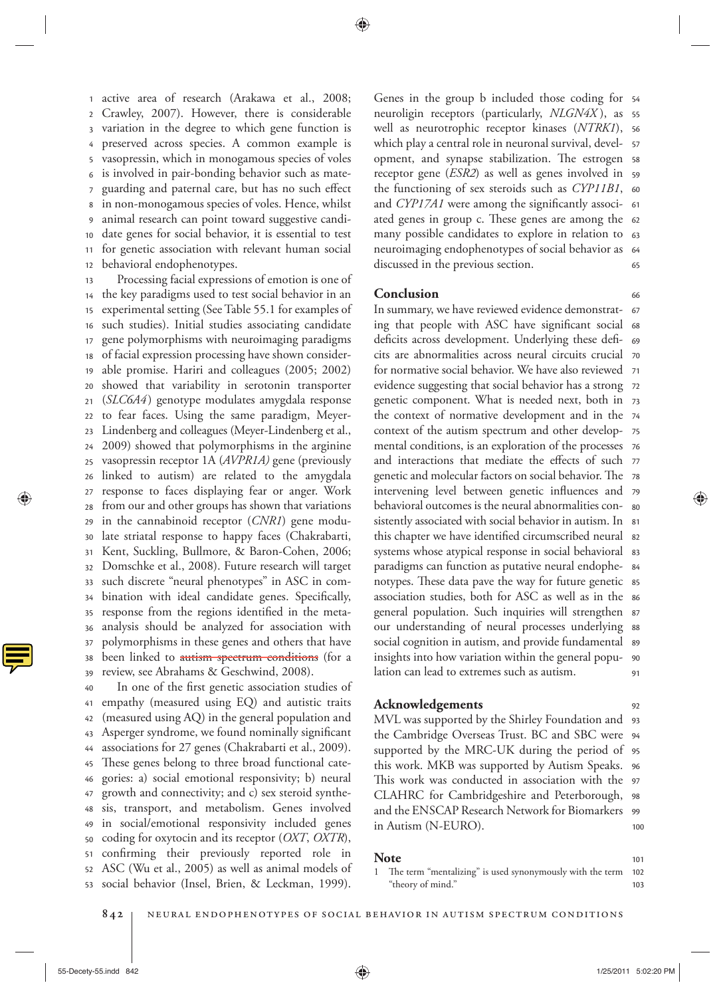12 11 10 9 8 7 6 5 4 3 2 1 active area of research (Arakawa et al., 2008; Crawley, 2007). However, there is considerable variation in the degree to which gene function is preserved across species. A common example is vasopressin, which in monogamous species of voles is involved in pair-bonding behavior such as mateguarding and paternal care, but has no such effect in non-monogamous species of voles. Hence, whilst animal research can point toward suggestive candidate genes for social behavior, it is essential to test for genetic association with relevant human social behavioral endophenotypes.

39 38 37 36 35 34 33 32 31 30 29 28 27 26 25 24 23 22 21 20 19 18 17 16 15 14 13 Processing facial expressions of emotion is one of the key paradigms used to test social behavior in an experimental setting (See Table 55.1 for examples of such studies). Initial studies associating candidate gene polymorphisms with neuroimaging paradigms of facial expression processing have shown considerable promise. Hariri and colleagues (2005; 2002) showed that variability in serotonin transporter ( *SLC6A4* ) genotype modulates amygdala response to fear faces. Using the same paradigm, Meyer-Lindenberg and colleagues (Meyer-Lindenberg et al., 2009 ) showed that polymorphisms in the arginine vasopressin receptor 1A ( *AVPR1A)* gene (previously linked to autism) are related to the amygdala response to faces displaying fear or anger. Work from our and other groups has shown that variations in the cannabinoid receptor (*CNR1*) gene modulate striatal response to happy faces (Chakrabarti, Kent, Suckling, Bullmore, & Baron-Cohen, 2006; Domschke et al., 2008). Future research will target such discrete "neural phenotypes" in ASC in combination with ideal candidate genes. Specifically, response from the regions identified in the metaanalysis should be analyzed for association with polymorphisms in these genes and others that have been linked to autism spectrum conditions (for a review, see Abrahams & Geschwind, 2008).

53 52 51 50 49 48 47 46 45 44 43 42 41 40 In one of the first genetic association studies of empathy (measured using EQ) and autistic traits (measured using AQ) in the general population and Asperger syndrome, we found nominally significant associations for 27 genes (Chakrabarti et al., 2009). These genes belong to three broad functional categories: a) social emotional responsivity; b) neural growth and connectivity; and c) sex steroid synthesis, transport, and metabolism. Genes involved in social/emotional responsivity included genes coding for oxytocin and its receptor (*OXT*, *OXTR*), confirming their previously reported role in ASC (Wu et al., 2005) as well as animal models of social behavior (Insel, Brien, & Leckman, 1999).

65 neuroimaging endophenotypes of social behavior as 64 many possible candidates to explore in relation to 63 ated genes in group c. These genes are among the 62 and *CYP17A1* were among the significantly associ- 61 the functioning of sex steroids such as *CYP11B1*, 60 receptor gene (*ESR2*) as well as genes involved in 59 opment, and synapse stabilization. The estrogen ss 57 which play a central role in neuronal survival, develwell as neurotrophic receptor kinases (*NTRK1*), 56 55 neuroligin receptors (particularly, *NLGN4X* ), as Genes in the group b included those coding for 54 discussed in the previous section.

## **Conclusion**

91 90 89 our understanding of neural processes underlying 88 general population. Such inquiries will strengthen 87 association studies, both for ASC as well as in the  $*$ notypes. These data pave the way for future genetic ss 84 paradigms can function as putative neural endophesystems whose atypical response in social behavioral ss this chapter we have identified circumscribed neural s2 sistently associated with social behavior in autism. In  $\,$  81  $\,$ behavioral outcomes is the neural abnormalities con-  $\,$  so intervening level between genetic influences and 79 genetic and molecular factors on social behavior. The  $\,$  78  $\,$ and interactions that mediate the effects of such 77 mental conditions, is an exploration of the processes 76 context of the autism spectrum and other develop- 75 the context of normative development and in the 74 genetic component. What is needed next, both in 73 evidence suggesting that social behavior has a strong 72 71 for normative social behavior. We have also reviewed cits are abnormalities across neural circuits crucial 70 deficits across development. Underlying these defi- 69 ing that people with ASC have significant social 68 In summary, we have reviewed evidence demonstrat- 67 social cognition in autism, and provide fundamental insights into how variation within the general population can lead to extremes such as autism.

# **Acknowledgements**

100 99 98 This work was conducted in association with the 97 96 this work. MKB was supported by Autism Speaks. supported by the MRC-UK during the period of 95 94 the Cambridge Overseas Trust. BC and SBC were MVL was supported by the Shirley Foundation and 93 CLAHRC for Cambridgeshire and Peterborough, and the ENSCAP Research Network for Biomarkers in Autism (N-EURO).

#### **Note**

103 102 1 The term "mentalizing" is used synonymously with the term "theory of mind."

842 | NEURAL ENDOPHENOTYPES OF SOCIAL BEHAVIOR IN AUTISM SPECTRUM CONDITIONS



101

92

66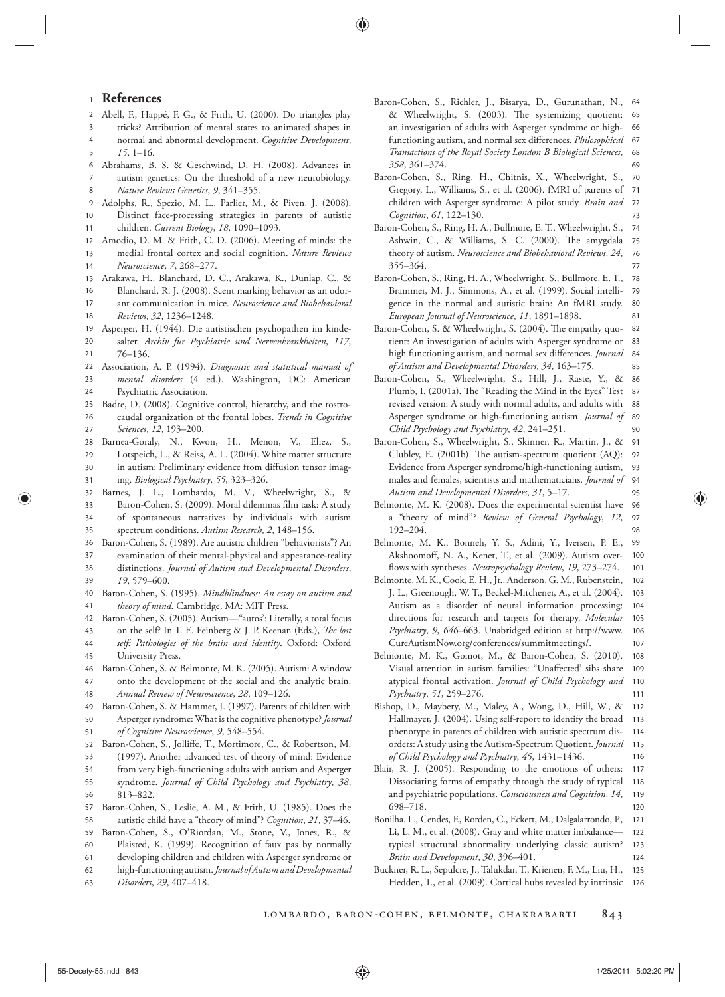#### <sup>1</sup> **References**

2 Abell, F., Happé, F. G., & Frith, U. (2000). Do triangles play

⊕

- 3 tricks? Attribution of mental states to animated shapes in
- 5 4 normal and abnormal development. *Cognitive Development*,  $15, 1 - 16$ .
- 8 7 6 Abrahams, B. S. & Geschwind, D. H. (2008). Advances in autism genetics: On the threshold of a new neurobiology . *Nature Reviews Genetics*, 9, 341-355.
- 9 Adolphs, R., Spezio, M. L., Parlier, M., & Piven, J. (2008).
- 11 10 Distinct face-processing strategies in parents of autistic children. *Current Biology*, 18, 1090-1093.
- 12 Amodio, D. M. & Frith, C. D. (2006). Meeting of minds: the
- 14 13 medial frontal cortex and social cognition . *Nature Reviews Neuroscience* , *7* , 268 – 277 .
- 15 Arakawa, H., Blanchard, D. C., Arakawa, K., Dunlap, C., &
- 16 Blanchard, R. J. (2008). Scent marking behavior as an odor-
- 18 17 ant communication in mice . *Neuroscience and Biobehavioral Reviews* , *32* , 1236 – 1248 .
- 19 Asperger, H. (1944). Die autistischen psychopathen im kinde-
- 21 20 salter. Archiv fur Psychiatrie und Nervenkrankheiten, 117,  $76 - 136.$
- 22 Association, A. P. (1994). *Diagnostic and statistical manual of*
- 24 23 *mental disorders* (4 ed.). Washington, DC: American Psychiatric Association .
- 26 25 Badre, D. (2008). Cognitive control, hierarchy, and the rostrocaudal organization of the frontal lobes . *Trends in Cognitive*
- 28 27 *Sciences*, 12, 193-200. Barnea-Goraly, N., Kwon, H., Menon, V., Eliez, S.,
- 31 30 29 Lotspeich, L., & Reiss, A. L. (2004). White matter structure in autism: Preliminary evidence from diffusion tensor imaging . *Biological Psychiatry* , *55* , 323 – 326 .
- 33 32 Barnes, J. L., Lombardo, M. V., Wheelwright, S., & Baron-Cohen, S. (2009). Moral dilemmas film task: A study
- 35 34 of spontaneous narratives by individuals with autism spectrum conditions. Autism Research, 2, 148-156.
- 36 Baron-Cohen, S. (1989). Are autistic children "behaviorists"? An
- 38 37 examination of their mental-physical and appearance-reality distinctions . *Journal of Autism and Developmental Disorders* ,
- 40 39 *19*, 579-600. Baron-Cohen, S. (1995). *Mindblindness: An essay on autism and*
- 41 *theory of mind*. Cambridge, MA: MIT Press.
- 42 Baron-Cohen, S. (2005). Autism-"autos': Literally, a total focus
- 43 on the self? In T. E. Feinberg & J. P. Keenan (Eds.), *The lost*
- 45 44 self: Pathologies of the brain and identity. Oxford: Oxford University Press .
- 47 46 Baron-Cohen, S. & Belmonte, M. K. (2005). Autism: A window onto the development of the social and the analytic brain .
- 48 *Annual Review of Neuroscience* , *28* , 109 – 126 .
- 50 49 Baron-Cohen, S. & Hammer, J. (1997). Parents of children with Asperger syndrome: What is the cognitive phenotype? *Journal*
- 51 *of Cognitive Neuroscience* , *9* , 548 – 554 .
- 52 Baron-Cohen, S., Jolliffe, T., Mortimore, C., & Robertson, M.
- 53 (1997). Another advanced test of theory of mind: Evidence
- 55 54 from very high-functioning adults with autism and Asperger syndrome. *Journal of Child Psychology and Psychiatry*, 38,
- 56 813 – 822.
- 58 57 Baron-Cohen, S., Leslie, A. M., & Frith, U. (1985). Does the autistic child have a "theory of mind"? *Cognition*, 21, 37-46.
- 59 Baron-Cohen, S., O'Riordan, M., Stone, V., Jones, R., &
- 60 Plaisted, K. (1999). Recognition of faux pas by normally
- 61 developing children and children with Asperger syndrome or
- 62 high-functioning autism . *Journal of Autism and Developmental*
- 63 *Disorders* , *29* , 407 – 418 .
- 69 68 67 66 65 Baron-Cohen, S., Richler, J., Bisarya, D., Gurunathan, N., 64 & Wheelwright, S. (2003). The systemizing quotient: an investigation of adults with Asperger syndrome or highfunctioning autism, and normal sex differences. *Philosophical Transactions of the Royal Society London B Biological Sciences* , *358* , 361 – 374 .
- 73 72 71 70 Baron-Cohen, S., Ring, H., Chitnis, X., Wheelwright, S., Gregory, L., Williams, S., et al. (2006). fMRI of parents of children with Asperger syndrome: A pilot study. *Brain and Cognition* , *61* , 122 – 130 .
- 77 76 75 74 Baron-Cohen, S., Ring, H. A., Bullmore, E. T., Wheelwright, S., Ashwin, C., & Williams, S. C. (2000). The amygdala theory of autism . *Neuroscience and Biobehavioral Reviews* , *24* , 355-364.
- 81 80 79 78 Baron-Cohen, S., Ring, H. A., Wheelwright, S., Bullmore, E. T., Brammer, M. J., Simmons, A., et al. (1999). Social intelligence in the normal and autistic brain: An fMRI study. European Journal of Neuroscience, 11, 1891-1898.
- 85 84 83 82 Baron-Cohen, S. & Wheelwright, S. (2004). The empathy quotient: An investigation of adults with Asperger syndrome or high functioning autism, and normal sex differences. *Journal of Autism and Developmental Disorders* , *34* , 163 – 175 .
- $90$ 89 88 87 86 Baron-Cohen, S., Wheelwright, S., Hill, J., Raste, Y., & Plumb, I. (2001a). The "Reading the Mind in the Eyes" Test revised version: A study with normal adults, and adults with Asperger syndrome or high-functioning autism . *Journal of Child Psychology and Psychiatry* , *42* , 241 – 251 .
- 95 94 93 92 91 Baron-Cohen, S., Wheelwright, S., Skinner, R., Martin, J., & Clubley, E. (2001b). The autism-spectrum quotient (AQ): Evidence from Asperger syndrome/high-functioning autism, males and females, scientists and mathematicians . *Journal of Autism and Developmental Disorders* , *31* , 5 – 17 .
- 98 97 96 Belmonte, M. K. (2008). Does the experimental scientist have a "theory of mind"? Review of General Psychology, 12, 192-204
- 101 100 99 Belmonte, M. K., Bonneh, Y. S., Adini, Y., Iversen, P. E., Akshoomoff, N. A., Kenet, T., et al. (2009). Autism overflows with syntheses. *Neuropsychology Review*, 19, 273-274.
- 107 106 105 104 103 102 Belmonte, M. K., Cook, E. H., Jr., Anderson, G. M., Rubenstein, J. L., Greenough, W. T., Beckel-Mitchener, A., et al. (2004). Autism as a disorder of neural information processing: directions for research and targets for therapy. *Molecular* Psychiatry, 9, 646-663. Unabridged edition at http://www. CureAutismNow.org/conferences/summitmeetings/ .
- 111 110 109 108 Belmonte, M. K., Gomot, M., & Baron-Cohen, S. (2010). Visual attention in autism families: "Unaffected' sibs share atypical frontal activation . *Journal of Child Psychology and Psychiatry* , *51* , 259 – 276 .
- 116 115 114 113 112 Bishop, D., Maybery, M., Maley, A., Wong, D., Hill, W., & Hallmayer, J. (2004). Using self-report to identify the broad phenotype in parents of children with autistic spectrum disorders: A study using the Autism-Spectrum Quotient. *Journal of Child Psychology and Psychiatry* , *45* , 1431 – 1436 .
- 120 119 118 117 Blair, R. J. (2005). Responding to the emotions of others: Dissociating forms of empathy through the study of typical and psychiatric populations. *Consciousness and Cognition*, 14, 698-718.
- 124 123 122 121 Bonilha. L., Cendes, F., Rorden, C., Eckert, M., Dalgalarrondo, P., Li, L. M., et al. (2008). Gray and white matter imbalancetypical structural abnormality underlying classic autism? *Brain and Development*, 30, 396-401.
- 126 125 Buckner, R. L., Sepulcre, J., Talukdar, T., Krienen, F. M., Liu, H., Hedden, T., et al. (2009). Cortical hubs revealed by intrinsic

lombardo, baron-cohen, belmonte, chakrabarti **843**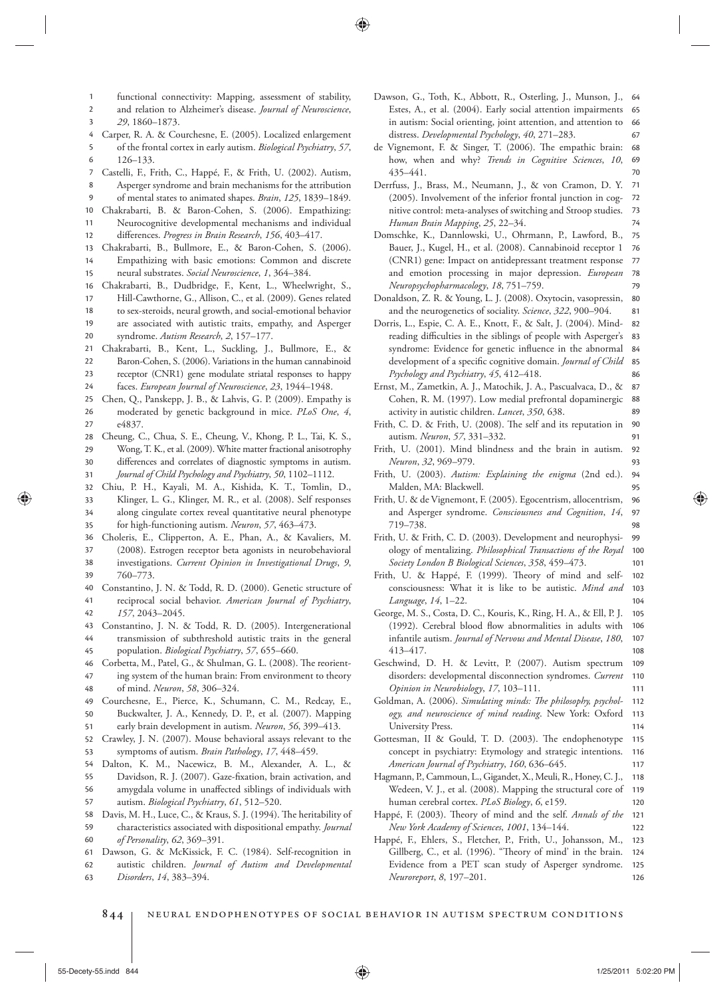- 2 1 functional connectivity: Mapping, assessment of stability, and relation to Alzheimer's disease . *Journal of Neuroscience* ,
	- 29, 1860-1873.

3

- 4 Carper, R. A. & Courchesne, E. (2005). Localized enlargement
- 6 5 of the frontal cortex in early autism . *Biological Psychiatry* , *57* , 126 – 133.
- 7 Castelli, F., Frith, C., Happé, F., & Frith, U. (2002). Autism,
- 8 Asperger syndrome and brain mechanisms for the attribution
- **9** of mental states to animated shapes. *Brain*, 125, 1839-1849.
- 12 11 10 Chakrabarti, B. & Baron-Cohen, S. (2006). Empathizing: Neurocognitive developmental mechanisms and individual
- differences. *Progress in Brain Research*, 156, 403-417.
- 15 14 13 Chakrabarti, B., Bullmore, E., & Baron-Cohen, S. (2006). Empathizing with basic emotions: Common and discrete neural substrates. *Social Neuroscience*, 1, 364-384.
- 16 Chakrabarti, B., Dudbridge, F., Kent, L., Wheelwright, S.,
- 17 Hill-Cawthorne, G., Allison, C., et al. (2009). Genes related
- 19 18 to sex-steroids, neural growth, and social-emotional behavior are associated with autistic traits, empathy, and Asperger
- 20 syndrome. Autism Research, 2, 157-177.
- 21 Chakrabarti, B., Kent, L., Suckling, J., Bullmore, E., &
- $23$ 22 Baron-Cohen, S. (2006). Variations in the human cannabinoid
- 24 receptor (CNR1) gene modulate striatal responses to happy
- faces. *European Journal of Neuroscience*, 23, 1944-1948.
- $27$ 26 25 Chen, Q., Panskepp, J. B., & Lahvis, G. P. (2009). Empathy is moderated by genetic background in mice . *PLoS One* , *4* , e4837
- 29 28 Cheung, C., Chua, S. E., Cheung, V., Khong, P. L., Tai, K. S., Wong, T. K., et al. (2009). White matter fractional anisotrophy
- 31 30 differences and correlates of diagnostic symptoms in autism. *Journal of Child Psychology and Psychiatry* , *50* , 1102 – 1112 .
- 35 34 33 32 Chiu, P. H., Kayali, M. A., Kishida, K. T., Tomlin, D., Klinger, L. G., Klinger, M. R., et al. (2008). Self responses along cingulate cortex reveal quantitative neural phenotype for high-functioning autism. *Neuron*, 57, 463-473.
- 38 37 36 Choleris, E., Clipperton, A. E., Phan, A., & Kavaliers, M. (2008). Estrogen receptor beta agonists in neurobehavioral investigations. *Current Opinion in Investigational Drugs*, 9,
- 40 39 760 – 773. Constantino, J. N. & Todd, R. D. (2000). Genetic structure of
- 42 41 reciprocal social behavior. *American Journal of Psychiatry*, *157* , 2043 – 2045 .
- 44 43 Constantino, J. N. & Todd, R. D. (2005). Intergenerational transmission of subthreshold autistic traits in the general
- 45 population. *Biological Psychiatry*, 57, 655-660.
- 48 47 46 Corbetta, M., Patel, G., & Shulman, G. L. (2008). The reorienting system of the human brain: From environment to theory of mind. *Neuron*, 58, 306-324.
- 50 49 Courchesne, E., Pierce, K., Schumann, C. M., Redcay, E., Buckwalter, J. A., Kennedy, D. P., et al. (2007). Mapping
- 51 early brain development in autism. *Neuron*, 56, 399-413.
- 53 52 Crawley, J. N. (2007). Mouse behavioral assays relevant to the symptoms of autism. *Brain Pathology*, 17, 448-459.
- 54 Dalton, K. M., Nacewicz, B. M., Alexander, A. L., &
- 57 56 55 Davidson, R. J. (2007). Gaze-fixation, brain activation, and amygdala volume in unaffected siblings of individuals with autism. *Biological Psychiatry*, 61, 512-520.
- 58 Davis, M. H., Luce, C., & Kraus, S. J. (1994). The heritability of
- 60 59 characteristics associated with dispositional empathy . *Journal of Personality* , *62* , 369 – 391 .
- 61 Dawson, G. & McKissick, F. C. (1984). Self-recognition in
- 62 autistic children . *Journal of Autism and Developmental*
- 63 *Disorders* , *14* , 383 – 394 .
- 67 66 65 Dawson, G., Toth, K., Abbott, R., Osterling, J., Munson, J., 64 Estes, A., et al. (2004). Early social attention impairments in autism: Social orienting, joint attention, and attention to distress. *Developmental Psychology*, 40, 271-283.
- 70 69 68 de Vignemont, F. & Singer, T. (2006). The empathic brain: how, when and why? *Trends in Cognitive Sciences*, 10, 435 – 441 .
- 74 73 72 71 Derrfuss, J., Brass, M., Neumann, J., & von Cramon, D. Y. (2005). Involvement of the inferior frontal junction in cognitive control: meta-analyses of switching and Stroop studies . *Human Brain Mapping*, 25, 22-34.
- 79 78 77 76 75 Domschke, K., Dannlowski, U., Ohrmann, P., Lawford, B., Bauer, J., Kugel, H., et al. (2008). Cannabinoid receptor 1 (CNR1) gene: Impact on antidepressant treatment response and emotion processing in major depression . *European Neuropsychopharmacology* , *18* , 751 – 759 .
- 81 80 Donaldson, Z. R. & Young, L. J. (2008). Oxytocin, vasopressin, and the neurogenetics of sociality. Science, 322, 900-904.
- 86 85 84 83 82 Dorris, L., Espie, C. A. E., Knott, F., & Salt, J. (2004). Mindreading difficulties in the siblings of people with Asperger's syndrome: Evidence for genetic influence in the abnormal development of a specific cognitive domain. *Journal of Child* Psychology and Psychiatry, 45, 412-418.
- 89 88 87 Ernst, M., Zametkin, A. J., Matochik, J. A., Pascualvaca, D., & Cohen, R. M. (1997). Low medial prefrontal dopaminergic activity in autistic children. *Lancet*, 350, 638.
- 91 90 Frith, C. D. & Frith, U. (2008). The self and its reputation in autism. *Neuron*, 57, 331-332.
- 93 92 Frith, U. (2001). Mind blindness and the brain in autism. *Neuron* , *32* , 969 – 979 .
- 95 94 Frith, U. (2003). Autism: Explaining the enigma (2nd ed.). Malden, MA: Blackwell.
- 98 97 96 Frith, U. & de Vignemont, F. (2005). Egocentrism, allocentrism, and Asperger syndrome. *Consciousness and Cognition*, 14, 719 – 738
- 101 100 99 Frith, U. & Frith, C. D. (2003). Development and neurophysiology of mentalizing . *Philosophical Transactions of the Royal Society London B Biological Sciences* , *358* , 459 – 473 .
- 104 103 102 Frith, U. & Happé, F. (1999). Theory of mind and selfconsciousness: What it is like to be autistic . *Mind and*  Language, 14, 1-22.
- 108 107 106 105 George, M. S., Costa, D. C., Kouris, K., Ring, H. A., & Ell, P. J. (1992). Cerebral blood flow abnormalities in adults with infantile autism. *Journal of Nervous and Mental Disease*, 180, 413-417.
- 111 110 109 Geschwind, D. H. & Levitt, P. (2007). Autism spectrum disorders: developmental disconnection syndromes. *Current Opinion in Neurobiology*, 17, 103-111.
- 114 113 112 Goldman, A. (2006). Simulating minds: The philosophy, psychology, and neuroscience of mind reading. New York: Oxford University Press.
- 117 116 115 Gottesman, II & Gould, T. D. (2003). The endophenotype concept in psychiatry: Etymology and strategic intentions . *American Journal of Psychiatry* , *160* , 636 – 645 .
- 120 119 118 Hagmann, P., Cammoun, L., Gigandet, X., Meuli, R., Honey, C. J., Wedeen, V. J., et al. (2008). Mapping the structural core of human cerebral cortex. PLoS Biology, 6, e159.
- 122 121 Happé, F. (2003). Theory of mind and the self. *Annals of the New York Academy of Sciences* , *1001* , 134 – 144 .
- 126 125 124 123 Happé, F., Ehlers, S., Fletcher, P., Frith, U., Johansson, M., Gillberg, C., et al. (1996). "Theory of mind' in the brain. Evidence from a PET scan study of Asperger syndrome. *Neuroreport* , *8* , 197 – 201 .
- 844 | NEURAL ENDOPHENOTYPES OF SOCIAL BEHAVIOR IN AUTISM SPECTRUM CONDITIONS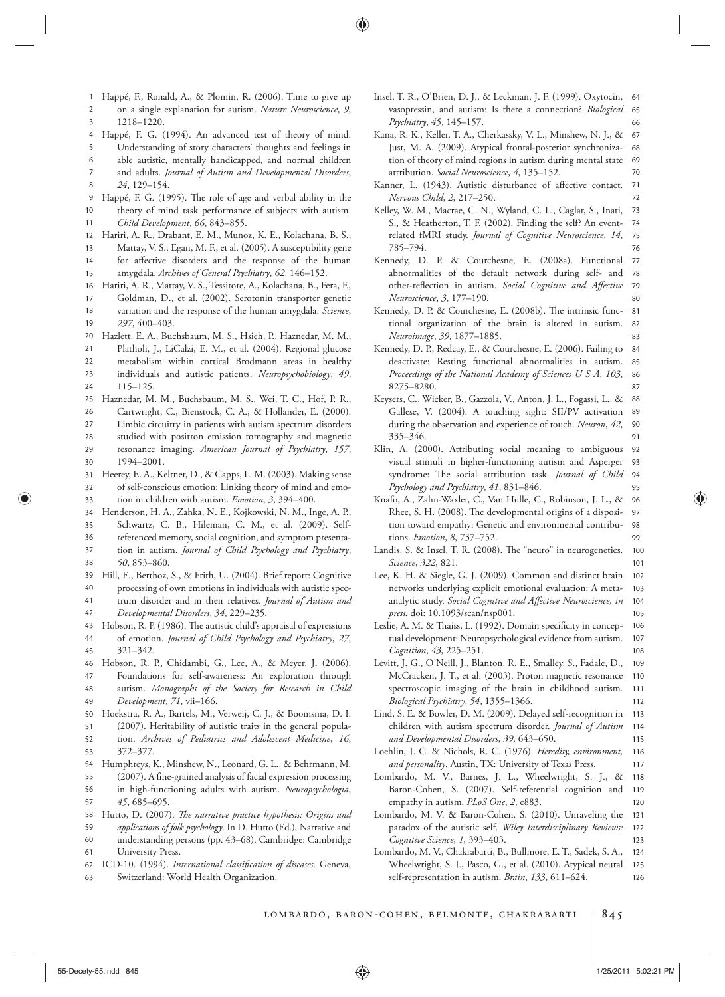- 3 2 1 Happé, F., Ronald, A., & Plomin, R. (2006). Time to give up on a single explanation for autism. Nature Neuroscience, 9, 1218 – 1220.
- 4 Happé, F. G. (1994). An advanced test of theory of mind:
- 5 Understanding of story characters' thoughts and feelings in
- 6 able autistic, mentally handicapped, and normal children
- 8 7 and adults. *Journal of Autism and Developmental Disorders*, 24, 129-154.
- 10 9 Happé, F. G. (1995). The role of age and verbal ability in the theory of mind task performance of subjects with autism .

11 *Child Development* , *66* , 843 – 855 .

- 12 Hariri, A. R., Drabant, E. M., Munoz, K. E., Kolachana, B. S.,
- 13 Mattay, V. S., Egan, M. F., et al. (2005). A susceptibility gene
- 15 14 for affective disorders and the response of the human amygdala. *Archives of General Psychiatry*, 62, 146-152.
- 16 Hariri, A. R., Mattay, V. S., Tessitore, A., Kolachana, B., Fera, F.,
- 17 Goldman, D., et al. (2002). Serotonin transporter genetic
- 19 18 variation and the response of the human amygdala . *Science* , 297, 400-403
- 20 Hazlett, E. A., Buchsbaum, M. S., Hsieh, P., Haznedar, M. M.,
- 21 Platholi, J., LiCalzi, E. M., et al. (2004). Regional glucose
- $23$ 22 metabolism within cortical Brodmann areas in healthy individuals and autistic patients. *Neuropsychobiology*, 49,
- 24  $115 - 125$ .
- 25 Haznedar, M. M., Buchsbaum, M. S., Wei, T. C., Hof, P. R.,
- 26 Cartwright, C., Bienstock, C. A., & Hollander, E. (2000).
- 28  $27$ Limbic circuitry in patients with autism spectrum disorders
- 29 studied with positron emission tomography and magnetic resonance imaging. American Journal of Psychiatry, 157,
- 30 1994-2001.
- 33 32 31 Heerey, E. A., Keltner, D., & Capps, L. M. (2003). Making sense of self-conscious emotion: Linking theory of mind and emotion in children with autism. *Emotion*, 3, 394–400.

34 Henderson, H. A., Zahka, N. E., Kojkowski, N. M., Inge, A. P.,

- 35 Schwartz, C. B., Hileman, C. M., et al. (2009). Self-
- 36 referenced memory, social cognition, and symptom presenta-
- 38 37 tion in autism. *Journal of Child Psychology and Psychiatry*, *50* , 853 – 860 .
- 40 39 Hill, E., Berthoz, S., & Frith, U. (2004). Brief report: Cognitive
- 41 processing of own emotions in individuals with autistic spectrum disorder and in their relatives . *Journal of Autism and*
- 42 *Developmental Disorders* , *34* , 229 – 235 .
- 45 44 43 Hobson, R. P. (1986). The autistic child's appraisal of expressions of emotion . *Journal of Child Psychology and Psychiatry* , *27* , 321 – 342.
- 46 Hobson, R. P., Chidambi, G., Lee, A., & Meyer, J. (2006).
- 48 47 Foundations for self-awareness: An exploration through autism. *Monographs of the Society for Research in Child*
- 49 *Development* , *71* , vii – 166 .
- 50 Hoekstra, R. A., Bartels, M., Verweij, C. J., & Boomsma, D. I.
- 52 51 (2007). Heritability of autistic traits in the general population. Archives of Pediatrics and Adolescent Medicine, 16,
- 54 53 372 – 377.
- 55 Humphreys, K., Minshew, N., Leonard, G. L., & Behrmann, M. (2007). A fine-grained analysis of facial expression processing
- 57 56 in high-functioning adults with autism. *Neuropsychologia*, *45* , 685 – 695 .
- 58 Hutto, D. (2007). *The narrative practice hypothesis: Origins and*
- 61  $60$ 59 *applications of folk psychology* . In D. Hutto (Ed.), Narrative and understanding persons (pp. 43-68). Cambridge: Cambridge University Press.
- 62 ICD-10. (1994). *International classification of diseases*. Geneva,
- 63 Switzerland: World Health Organization.
- 66 65 Insel, T. R., O'Brien, D. J., & Leckman, J. F. (1999). Oxytocin, 64 vasopressin, and autism: Is there a connection? *Biological Psychiatry* , *45* , 145 – 157 .
- 70 69 68 67 Kana, R. K., Keller, T. A., Cherkassky, V. L., Minshew, N. J., & Just, M. A. (2009). Atypical frontal-posterior synchronization of theory of mind regions in autism during mental state attribution. *Social Neuroscience*, 4, 135-152.
- 72 71 Kanner, L. (1943). Autistic disturbance of affective contact. *Nervous Child*, 2, 217–250.
- 76 75 74 73 Kelley, W. M., Macrae, C. N., Wyland, C. L., Caglar, S., Inati, S., & Heatherton, T. F. (2002). Finding the self? An eventrelated fMRI study. *Journal of Cognitive Neuroscience*, 14, 785-794.
- 80 79 78 77 Kennedy, D. P. & Courchesne, E. (2008a). Functional abnormalities of the default network during self- and other-reflection in autism. *Social Cognitive and Affective Neuroscience* , *3* , 177 – 190 .
- 83 82 81 Kennedy, D. P. & Courchesne, E. (2008b). The intrinsic functional organization of the brain is altered in autism. *Neuroimage* , *39* , 1877 – 1885 .
- 87 86 85 84 Kennedy, D. P., Redcay, E., & Courchesne, E. (2006). Failing to deactivate: Resting functional abnormalities in autism. *Proceedings of the National Academy of Sciences U S A* , *103* , 8275-8280.
- 91 90 89 88 Keysers, C., Wicker, B., Gazzola, V., Anton, J. L., Fogassi, L., & Gallese, V. (2004). A touching sight: SII/PV activation during the observation and experience of touch. *Neuron*, 42, 335 – 346
- 95 94 93 92 Klin, A. (2000). Attributing social meaning to ambiguous visual stimuli in higher-functioning autism and Asperger syndrome: The social attribution task. *Journal of Child* Psychology and Psychiatry, 41, 831-846.
- 99 98 97 96 Knafo, A., Zahn-Waxler, C., Van Hulle, C., Robinson, J. L., & Rhee, S. H. (2008). The developmental origins of a disposition toward empathy: Genetic and environmental contributions. *Emotion*, 8, 737-752.
- 101 100 Landis, S. & Insel, T. R. (2008). The "neuro" in neurogenetics. *Science* , *322* , 821 .
- 105 104 103 102 Lee, K. H. & Siegle, G. J. (2009). Common and distinct brain networks underlying explicit emotional evaluation: A metaanalytic study. Social Cognitive and Affective Neuroscience, in *press.* doi: 10.1093/scan/nsp001 .
- 108 107 106 Leslie, A. M. & Thaiss, L. (1992). Domain specificity in conceptual development: Neuropsychological evidence from autism . *Cognition* , *43* , 225 – 251 .
- 112 111 110 109 Levitt, J. G., O'Neill, J., Blanton, R. E., Smalley, S., Fadale, D., McCracken, J. T., et al. (2003). Proton magnetic resonance spectroscopic imaging of the brain in childhood autism. *Biological Psychiatry* , *54* , 1355 – 1366 .
- 115 114 113 Lind, S. E. & Bowler, D. M. (2009). Delayed self-recognition in children with autism spectrum disorder . *Journal of Autism and Developmental Disorders* , *39* , 643 – 650 .
- 117 116 Loehlin, J. C. & Nichols, R. C. (1976). *Heredity, environment,* and personality. Austin, TX: University of Texas Press.
- 120 119 118 Lombardo, M. V., Barnes, J. L., Wheelwright, S. J., & Baron-Cohen, S. (2007). Self-referential cognition and empathy in autism. PLoS One, 2, e883.
- 123 122 121 Lombardo, M. V. & Baron-Cohen, S. (2010). Unraveling the paradox of the autistic self. *Wiley Interdisciplinary Reviews: Cognitive Science* , *1* , 393 – 403 .
- 126 125 124 Lombardo, M. V., Chakrabarti, B., Bullmore, E. T., Sadek, S. A., Wheelwright, S. J., Pasco, G., et al. (2010). Atypical neural self-representation in autism. *Brain*, 133, 611-624.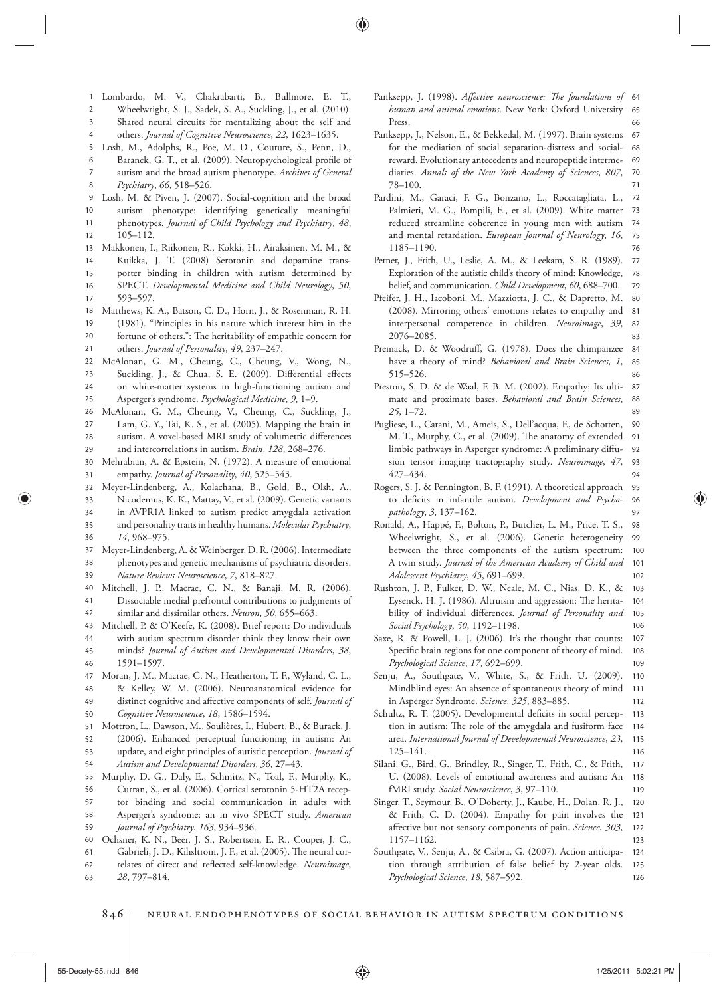- 1 Lombardo, M. V., Chakrabarti, B., Bullmore, E. T.,
- 2 Wheelwright, S. J., Sadek, S. A., Suckling, J., et al. (2010).
- 3 Shared neural circuits for mentalizing about the self and
- 4 others. *Journal of Cognitive Neuroscience*, 22, 1623-1635.
- 5 Losh, M., Adolphs, R., Poe, M. D., Couture, S., Penn, D.,
- 8 7 6 Baranek, G. T., et al. (2009). Neuropsychological profile of autism and the broad autism phenotype . *Archives of General Psychiatry* , *66* , 518 – 526 .
- 9 Losh, M. & Piven, J. (2007). Social-cognition and the broad
- 10 autism phenotype: identifying genetically meaningful
- 12 11 phenotypes . *Journal of Child Psychology and Psychiatry* , *48* ,  $105 - 112.$
- 13 Makkonen, I., Riikonen, R., Kokki, H., Airaksinen, M. M., &
- 15 14 Kuikka, J. T. (2008) Serotonin and dopamine transporter binding in children with autism determined by
- 17 16 SPECT. Developmental Medicine and Child Neurology, 50, 593-597.
- 18 Matthews, K. A., Batson, C. D., Horn, J., & Rosenman, R. H.
- 20 19 (1981). "Principles in his nature which interest him in the fortune of others.": The heritability of empathic concern for
- 21 others. *Journal of Personality*, 49, 237-247.
- 22 McAlonan, G. M., Cheung, C., Cheung, V., Wong, N.,
- 24  $23$ Suckling, J., & Chua, S. E. (2009). Differential effects on white-matter systems in high-functioning autism and
- 25 Asperger's syndrome. *Psychological Medicine*, 9, 1-9.
- 29 28  $27$ 26 McAlonan, G. M., Cheung, V., Cheung, C., Suckling, J., Lam, G. Y., Tai, K. S., et al. (2005). Mapping the brain in autism. A voxel-based MRI study of volumetric differences and intercorrelations in autism. *Brain*, 128, 268-276.
- 31 30 Mehrabian, A. & Epstein, N. (1972). A measure of emotional empathy. *Journal of Personality*, 40, 525-543.
- 32 Meyer-Lindenberg, A., Kolachana, B., Gold, B., Olsh, A.,
- 35 34 33 Nicodemus, K. K., Mattay, V., et al. (2009). Genetic variants in AVPR1A linked to autism predict amygdala activation and personality traits in healthy humans . *Molecular Psychiatry* ,
- 36 14, 968-975.
- 37 Meyer-Lindenberg, A. & Weinberger, D. R. (2006). Intermediate
- 39 38 phenotypes and genetic mechanisms of psychiatric disorders . *Nature Reviews Neuroscience* , *7* , 818 – 827 .
- 40 Mitchell, J. P., Macrae, C. N., & Banaji, M. R. (2006).
- 42 41 Dissociable medial prefrontal contributions to judgments of similar and dissimilar others. *Neuron*, 50, 655-663.
- 43 Mitchell, P. & O'Keefe, K. (2008). Brief report: Do individuals
- 44 with autism spectrum disorder think they know their own
- 46 45 minds? *Journal of Autism and Developmental Disorders* , *38* , 1591-1597.
- 47 Moran, J. M., Macrae, C. N., Heatherton, T. F., Wyland, C. L.,
- 48 & Kelley, W. M. (2006). Neuroanatomical evidence for
- 50 49 distinct cognitive and affective components of self. *Journal of* Cognitive Neuroscience, 18, 1586-1594.
- 51 Mottron, L., Dawson, M., Soulières, I., Hubert, B., & Burack, J.
- 53 52 (2006). Enhanced perceptual functioning in autism: An update, and eight principles of autistic perception . *Journal of*
- 54 *Autism and Developmental Disorders* , *36* , 27 – 43 .
- 55 Murphy, D. G., Daly, E., Schmitz, N., Toal, F., Murphy, K.,
- 56 Curran, S., et al. (2006). Cortical serotonin 5-HT2A recep-
- 57 tor binding and social communication in adults with
- 59 58 Asperger's syndrome: an in vivo SPECT study . *American Journal of Psychiatry* , *163* , 934 – 936 .
- 60 Ochsner, K. N., Beer, J. S., Robertson, E. R., Cooper, J. C.,
- 61 Gabrieli, J. D., Kihsltrom, J. F., et al. (2005). The neural cor-
- 62 relates of direct and reflected self-knowledge. *Neuroimage*,
- 63 28, 797-814.
- 66 65 Panksepp, J. (1998). *Affective neuroscience: The foundations of 6*4 human and animal emotions. New York: Oxford University Press .
- 71 70 69 68 67 Panksepp, J., Nelson, E., & Bekkedal, M. (1997). Brain systems for the mediation of social separation-distress and socialreward. Evolutionary antecedents and neuropeptide intermediaries. Annals of the New York Academy of Sciences, 807,  $78 - 100.$
- 76 75 74 73 72 Pardini, M., Garaci, F. G., Bonzano, L., Roccatagliata, L., Palmieri, M. G., Pompili, E., et al. (2009). White matter reduced streamline coherence in young men with autism and mental retardation. *European Journal of Neurology*, 16, 1185-1190.
- 79 78 77 Perner, J., Frith, U., Leslie, A. M., & Leekam, S. R. (1989). Exploration of the autistic child's theory of mind: Knowledge, belief, and communication. *Child Development*, 60, 688-700.
- 83 82 81 80 Pfeifer, J. H., Iacoboni, M., Mazziotta, J. C., & Dapretto, M. (2008). Mirroring others' emotions relates to empathy and interpersonal competence in children. *Neuroimage*, 39, 2076 – 2085.
- 86 85 84 Premack, D. & Woodruff, G. (1978). Does the chimpanzee have a theory of mind? *Behavioral and Brain Sciences*, 1, 515 – 526.
- 89 88 87 Preston, S. D. & de Waal, F. B. M. (2002). Empathy: Its ultimate and proximate bases . *Behavioral and Brain Sciences* , *25*, 1–72
- 94 93 92 91 90 Pugliese, L., Catani, M., Ameis, S., Dell'acqua, F., de Schotten, M. T., Murphy, C., et al. (2009). The anatomy of extended limbic pathways in Asperger syndrome: A preliminary diffusion tensor imaging tractography study. Neuroimage, 47, 427-434.
- 97 96 95 Rogers, S. J. & Pennington, B. F. (1991). A theoretical approach to deficits in infantile autism. *Development and Psychopathology* , *3* , 137 – 162 .
- 102 101 100 99 98 Ronald, A., Happé, F., Bolton, P., Butcher, L. M., Price, T. S., Wheelwright, S., et al. (2006). Genetic heterogeneity between the three components of the autism spectrum: A twin study . *Journal of the American Academy of Child and Adolescent Psychiatry* , *45* , 691 – 699 .
- 106 105 104 103 Rushton, J. P., Fulker, D. W., Neale, M. C., Nias, D. K., & Eysenck, H. J. (1986). Altruism and aggression: The heritability of individual differences. *Journal of Personality and Social Psychology* , *50* , 1192 – 1198 .
- 109 108 107 Saxe, R. & Powell, L. J. (2006). It's the thought that counts: Specific brain regions for one component of theory of mind. Psychological Science, 17, 692-699.
- 112 111 110 Senju, A., Southgate, V., White, S., & Frith, U. (2009). Mindblind eyes: An absence of spontaneous theory of mind in Asperger Syndrome. *Science*, 325, 883-885.
- 116 115 114 113 Schultz, R. T. (2005). Developmental deficits in social perception in autism: The role of the amygdala and fusiform face area . *International Journal of Developmental Neuroscience* , *23* ,  $125 - 141.$
- 119 118 117 Silani, G., Bird, G., Brindley, R., Singer, T., Frith, C., & Frith, U. (2008). Levels of emotional awareness and autism: An fMRI study. *Social Neuroscience*, 3, 97-110.
- 123 122 121 120 Singer, T., Seymour, B., O'Doherty, J., Kaube, H., Dolan, R. J., & Frith, C. D. (2004). Empathy for pain involves the affective but not sensory components of pain. *Science*, 303, 1157 – 1162.
- 126 125 124 Southgate, V., Senju, A., & Csibra, G. (2007). Action anticipation through attribution of false belief by 2-year olds. Psychological Science, 18, 587-592.
- 846 | NEURAL ENDOPHENOTYPES OF SOCIAL BEHAVIOR IN AUTISM SPECTRUM CONDITIONS